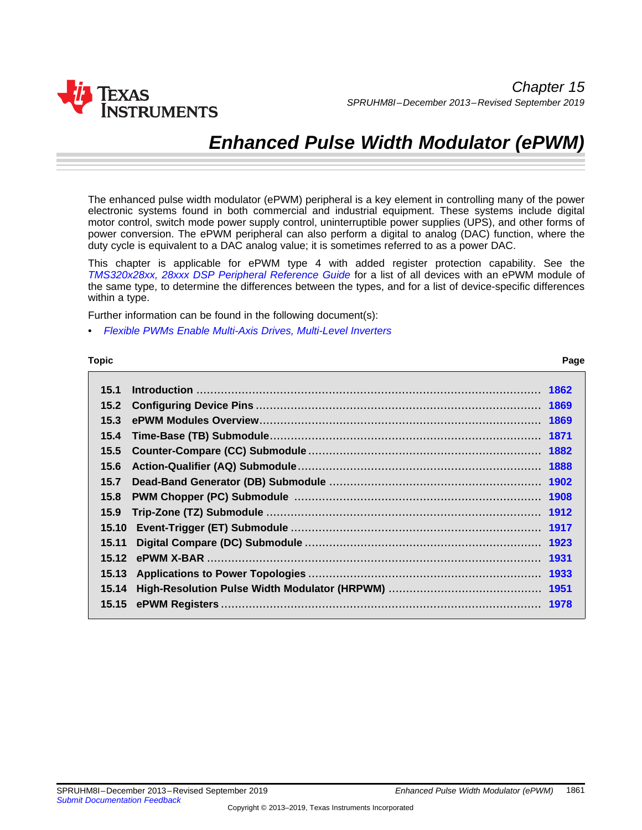

# *Enhanced Pulse Width Modulator (ePWM)*

The enhanced pulse width modulator (ePWM) peripheral is a key element in controlling many of the power electronic systems found in both commercial and industrial equipment. These systems include digital motor control, switch mode power supply control, uninterruptible power supplies (UPS), and other forms of power conversion. The ePWM peripheral can also perform a digital to analog (DAC) function, where the duty cycle is equivalent to a DAC analog value; it is sometimes referred to as a power DAC.

This chapter is applicable for ePWM type 4 with added register protection capability. See the *[TMS320x28xx,](http://www.ti.com/lit/pdf/spru566) 28xxx DSP Peripheral Reference Guide* for a list of all devices with an ePWM module of the same type, to determine the differences between the types, and for a list of device-specific differences within a type.

Further information can be found in the following document(s):

• *Flexible PWMs Enable Multi-Axis Drives, [Multi-Level](http://www.ti.com/lit/pdf/sprt723) Inverters*

#### **Topic** ........................................................................................................................... **Page**

**15.1 Introduction** ................................................................................................... **[1862](#page-1-0) 15.2 Configuring Device Pins**.................................................................................. **[1869](#page--1-0) 15.3 ePWM Modules Overview**................................................................................. **[1869](#page--1-1) 15.4 Time-Base (TB) Submodule**.............................................................................. **[1871](#page-7-0) 15.5 Counter-Compare (CC) Submodule**................................................................... **[1882](#page-10-0) 15.6 Action-Qualifier (AQ) Submodule**...................................................................... **[1888](#page--1-2) 15.7 Dead-Band Generator (DB) Submodule** ............................................................. **[1902](#page--1-0) 15.8 PWM Chopper (PC) Submodule** ....................................................................... **[1908](#page--1-0) 15.9 Trip-Zone (TZ) Submodule** ............................................................................... **[1912](#page--1-0) 15.10 Event-Trigger (ET) Submodule** ........................................................................ **[1917](#page-17-0) 15.11 Digital Compare (DC) Submodule** .................................................................... **[1923](#page--1-0) 15.12 ePWM X-BAR** ................................................................................................ **[1931](#page--1-3) 15.13 Applications to Power Topologies** ................................................................... **[1933](#page--1-0) 15.14 High-Resolution Pulse Width Modulator (HRPWM)** ............................................ **[1951](#page--1-0) 15.15 ePWM Registers**............................................................................................ **[1978](#page-18-0)**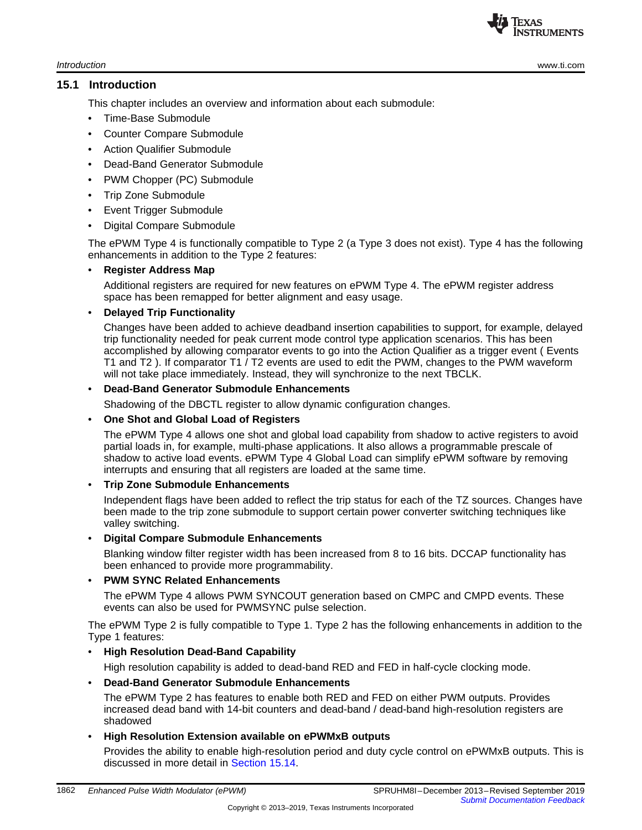**TEXAS** STRUMENTS

*Introduction* [www.ti.com](http://www.ti.com)

#### <span id="page-1-0"></span>**15.1 Introduction**

This chapter includes an overview and information about each submodule:

- Time-Base Submodule
- Counter Compare Submodule
- Action Qualifier Submodule
- Dead-Band Generator Submodule
- PWM Chopper (PC) Submodule
- Trip Zone Submodule
- **Event Trigger Submodule**
- Digital Compare Submodule

The ePWM Type 4 is functionally compatible to Type 2 (a Type 3 does not exist). Type 4 has the following enhancements in addition to the Type 2 features:

## • **Register Address Map**

Additional registers are required for new features on ePWM Type 4. The ePWM register address space has been remapped for better alignment and easy usage.

## • **Delayed Trip Functionality**

Changes have been added to achieve deadband insertion capabilities to support, for example, delayed trip functionality needed for peak current mode control type application scenarios. This has been accomplished by allowing comparator events to go into the Action Qualifier as a trigger event ( Events T1 and T2 ). If comparator T1 / T2 events are used to edit the PWM, changes to the PWM waveform will not take place immediately. Instead, they will synchronize to the next TBCLK.

#### • **Dead-Band Generator Submodule Enhancements**

Shadowing of the DBCTL register to allow dynamic configuration changes.

## • **One Shot and Global Load of Registers**

The ePWM Type 4 allows one shot and global load capability from shadow to active registers to avoid partial loads in, for example, multi-phase applications. It also allows a programmable prescale of shadow to active load events. ePWM Type 4 Global Load can simplify ePWM software by removing interrupts and ensuring that all registers are loaded at the same time.

## • **Trip Zone Submodule Enhancements**

Independent flags have been added to reflect the trip status for each of the TZ sources. Changes have been made to the trip zone submodule to support certain power converter switching techniques like valley switching.

#### • **Digital Compare Submodule Enhancements**

Blanking window filter register width has been increased from 8 to 16 bits. DCCAP functionality has been enhanced to provide more programmability.

## • **PWM SYNC Related Enhancements**

The ePWM Type 4 allows PWM SYNCOUT generation based on CMPC and CMPD events. These events can also be used for PWMSYNC pulse selection.

The ePWM Type 2 is fully compatible to Type 1. Type 2 has the following enhancements in addition to the Type 1 features:

## • **High Resolution Dead-Band Capability**

High resolution capability is added to dead-band RED and FED in half-cycle clocking mode.

## • **Dead-Band Generator Submodule Enhancements**

The ePWM Type 2 has features to enable both RED and FED on either PWM outputs. Provides increased dead band with 14-bit counters and dead-band / dead-band high-resolution registers are shadowed

## • **High Resolution Extension available on ePWMxB outputs**

Provides the ability to enable high-resolution period and duty cycle control on ePWMxB outputs. This is discussed in more detail in [Section](#page--1-0) 15.14.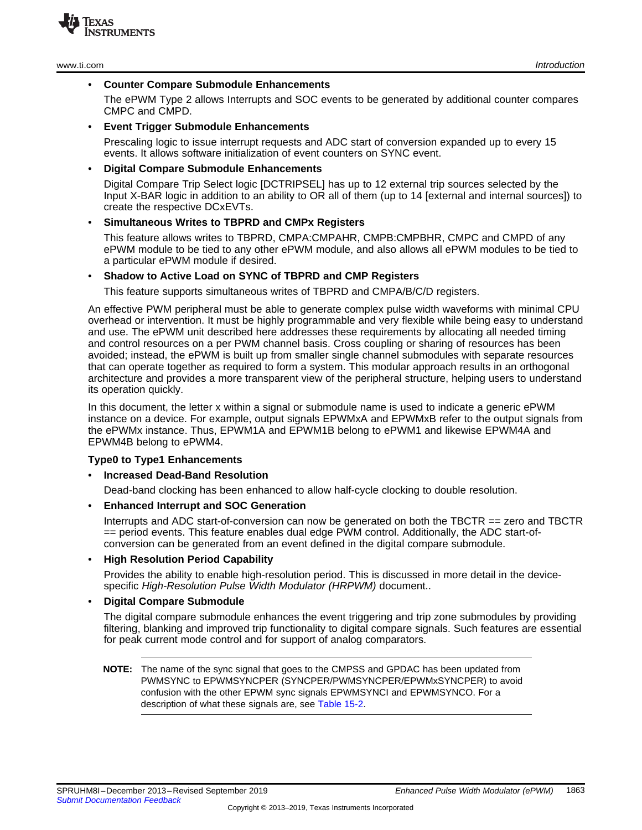

The ePWM Type 2 allows Interrupts and SOC events to be generated by additional counter compares CMPC and CMPD.

#### • **Event Trigger Submodule Enhancements**

Prescaling logic to issue interrupt requests and ADC start of conversion expanded up to every 15 events. It allows software initialization of event counters on SYNC event.

#### • **Digital Compare Submodule Enhancements**

Digital Compare Trip Select logic [DCTRIPSEL] has up to 12 external trip sources selected by the Input X-BAR logic in addition to an ability to OR all of them (up to 14 [external and internal sources]) to create the respective DCxEVTs.

#### • **Simultaneous Writes to TBPRD and CMPx Registers**

This feature allows writes to TBPRD, CMPA:CMPAHR, CMPB:CMPBHR, CMPC and CMPD of any ePWM module to be tied to any other ePWM module, and also allows all ePWM modules to be tied to a particular ePWM module if desired.

#### • **Shadow to Active Load on SYNC of TBPRD and CMP Registers**

This feature supports simultaneous writes of TBPRD and CMPA/B/C/D registers.

An effective PWM peripheral must be able to generate complex pulse width waveforms with minimal CPU overhead or intervention. It must be highly programmable and very flexible while being easy to understand and use. The ePWM unit described here addresses these requirements by allocating all needed timing and control resources on a per PWM channel basis. Cross coupling or sharing of resources has been avoided; instead, the ePWM is built up from smaller single channel submodules with separate resources that can operate together as required to form a system. This modular approach results in an orthogonal architecture and provides a more transparent view of the peripheral structure, helping users to understand its operation quickly.

In this document, the letter x within a signal or submodule name is used to indicate a generic ePWM instance on a device. For example, output signals EPWMxA and EPWMxB refer to the output signals from the ePWMx instance. Thus, EPWM1A and EPWM1B belong to ePWM1 and likewise EPWM4A and EPWM4B belong to ePWM4.

#### **Type0 to Type1 Enhancements**

#### • **Increased Dead-Band Resolution**

Dead-band clocking has been enhanced to allow half-cycle clocking to double resolution.

#### • **Enhanced Interrupt and SOC Generation**

Interrupts and ADC start-of-conversion can now be generated on both the TBCTR == zero and TBCTR == period events. This feature enables dual edge PWM control. Additionally, the ADC start-ofconversion can be generated from an event defined in the digital compare submodule.

#### • **High Resolution Period Capability**

Provides the ability to enable high-resolution period. This is discussed in more detail in the devicespecific *High-Resolution Pulse Width Modulator (HRPWM)* document..

#### • **Digital Compare Submodule**

The digital compare submodule enhances the event triggering and trip zone submodules by providing filtering, blanking and improved trip functionality to digital compare signals. Such features are essential for peak current mode control and for support of analog comparators.

**NOTE:** The name of the sync signal that goes to the CMPSS and GPDAC has been updated from PWMSYNC to EPWMSYNCPER (SYNCPER/PWMSYNCPER/EPWMxSYNCPER) to avoid confusion with the other EPWM sync signals EPWMSYNCI and EPWMSYNCO. For a description of what these signals are, see [Table](#page--1-4) 15-2.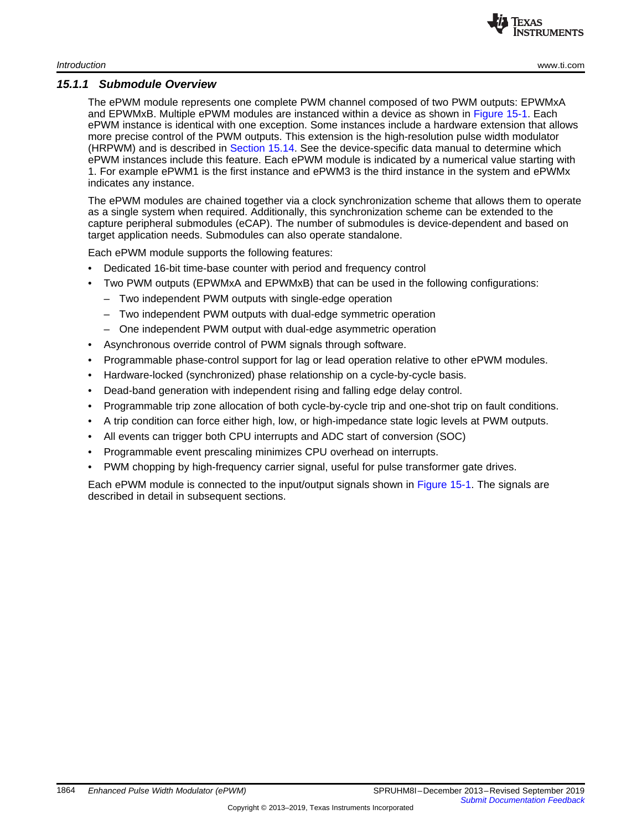

#### *15.1.1 Submodule Overview*

The ePWM module represents one complete PWM channel composed of two PWM outputs: EPWMxA and EPWMxB. Multiple ePWM modules are instanced within a device as shown in [Figure](#page-4-0) 15-1. Each ePWM instance is identical with one exception. Some instances include a hardware extension that allows more precise control of the PWM outputs. This extension is the high-resolution pulse width modulator (HRPWM) and is described in [Section](#page--1-0) 15.14. See the device-specific data manual to determine which ePWM instances include this feature. Each ePWM module is indicated by a numerical value starting with 1. For example ePWM1 is the first instance and ePWM3 is the third instance in the system and ePWMx indicates any instance.

The ePWM modules are chained together via a clock synchronization scheme that allows them to operate as a single system when required. Additionally, this synchronization scheme can be extended to the capture peripheral submodules (eCAP). The number of submodules is device-dependent and based on target application needs. Submodules can also operate standalone.

Each ePWM module supports the following features:

- Dedicated 16-bit time-base counter with period and frequency control
- Two PWM outputs (EPWMxA and EPWMxB) that can be used in the following configurations:
	- Two independent PWM outputs with single-edge operation
	- Two independent PWM outputs with dual-edge symmetric operation
	- One independent PWM output with dual-edge asymmetric operation
- Asynchronous override control of PWM signals through software.
- Programmable phase-control support for lag or lead operation relative to other ePWM modules.
- Hardware-locked (synchronized) phase relationship on a cycle-by-cycle basis.
- Dead-band generation with independent rising and falling edge delay control.
- Programmable trip zone allocation of both cycle-by-cycle trip and one-shot trip on fault conditions.
- A trip condition can force either high, low, or high-impedance state logic levels at PWM outputs.
- All events can trigger both CPU interrupts and ADC start of conversion (SOC)
- Programmable event prescaling minimizes CPU overhead on interrupts.
- PWM chopping by high-frequency carrier signal, useful for pulse transformer gate drives.

Each ePWM module is connected to the input/output signals shown in [Figure](#page-4-0) 15-1. The signals are described in detail in subsequent sections.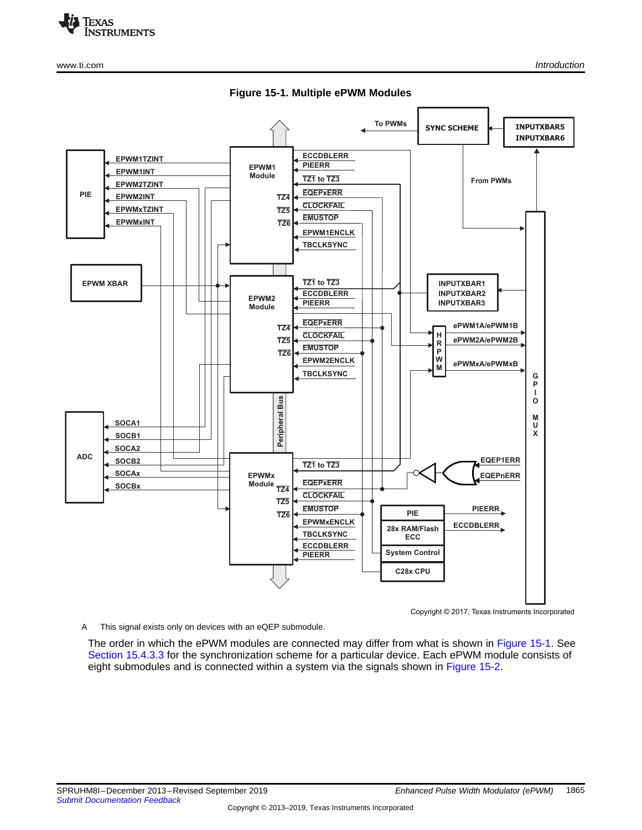

<span id="page-4-0"></span>





Copyright © 2017, Texas Instruments Incorporated

A This signal exists only on devices with an eQEP submodule.

The order in which the ePWM modules are connected may differ from what is shown in [Figure](#page-4-0) 15-1. See Section [15.4.3.3](#page--1-5) for the synchronization scheme for a particular device. Each ePWM module consists of eight submodules and is connected within a system via the signals shown in [Figure](#page-5-0) 15-2.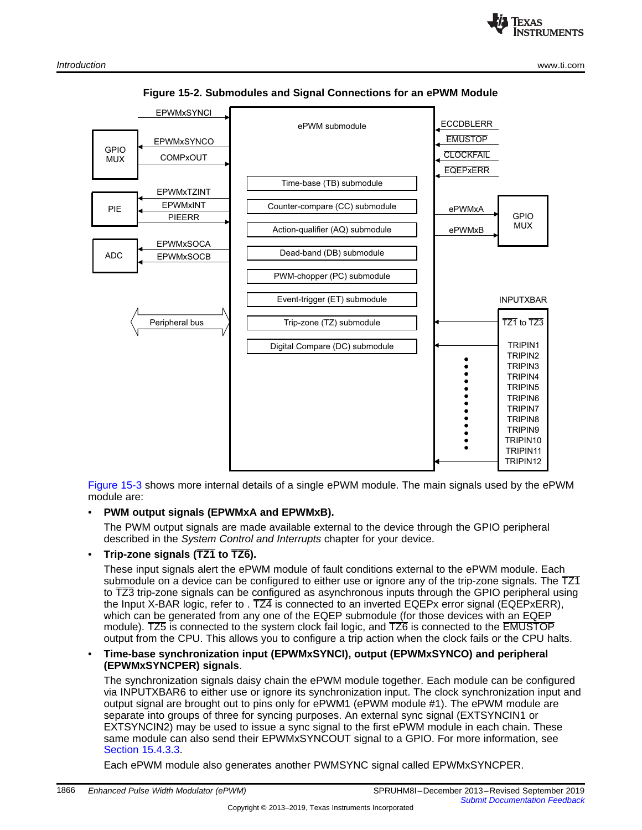<span id="page-5-0"></span>

**Figure 15-2. Submodules and Signal Connections for an ePWM Module**

[Figure](#page--1-6) 15-3 shows more internal details of a single ePWM module. The main signals used by the ePWM module are:

• **PWM output signals (EPWMxA and EPWMxB).**

The PWM output signals are made available external to the device through the GPIO peripheral described in the *System Control and Interrupts* chapter for your device.

• **Trip-zone signals (TZ1 to TZ6).**

These input signals alert the ePWM module of fault conditions external to the ePWM module. Each submodule on a device can be configured to either use or ignore any of the trip-zone signals. The  $\overline{TZ1}$ to TZ3 trip-zone signals can be configured as asynchronous inputs through the GPIO peripheral using the Input X-BAR logic, refer to . TZ4 is connected to an inverted EQEPx error signal (EQEPxERR), which can be generated from any one of the EQEP submodule (for those devices with an EQEP module). TZ5 is connected to the system clock fail logic, and TZ6 is connected to the EMUSTOP output from the CPU. This allows you to configure a trip action when the clock fails or the CPU halts.

#### • **Time-base synchronization input (EPWMxSYNCI), output (EPWMxSYNCO) and peripheral (EPWMxSYNCPER) signals**.

The synchronization signals daisy chain the ePWM module together. Each module can be configured via INPUTXBAR6 to either use or ignore its synchronization input. The clock synchronization input and output signal are brought out to pins only for ePWM1 (ePWM module #1). The ePWM module are separate into groups of three for syncing purposes. An external sync signal (EXTSYNCIN1 or EXTSYNCIN2) may be used to issue a sync signal to the first ePWM module in each chain. These same module can also send their EPWMxSYNCOUT signal to a GPIO. For more information, see Section [15.4.3.3](#page--1-5).

Each ePWM module also generates another PWMSYNC signal called EPWMxSYNCPER.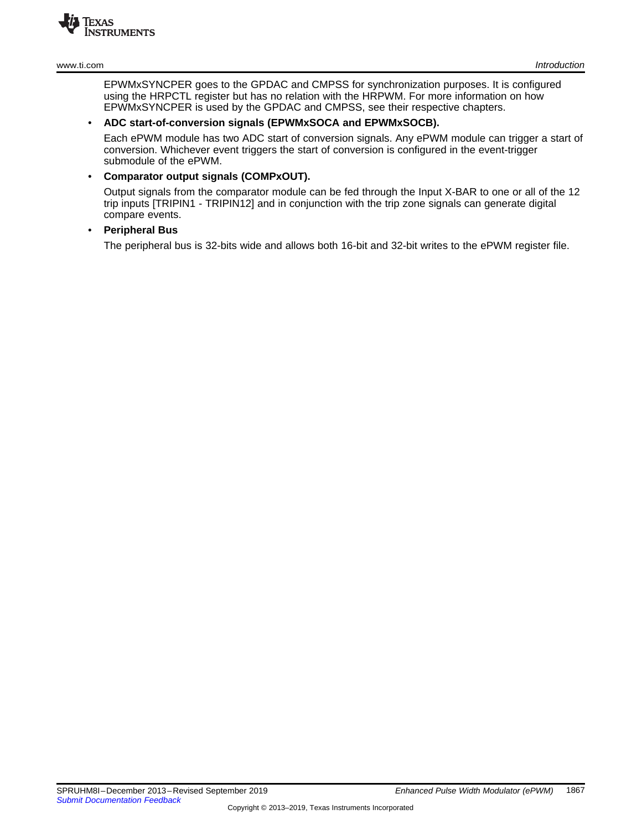

EPWMxSYNCPER goes to the GPDAC and CMPSS for synchronization purposes. It is configured using the HRPCTL register but has no relation with the HRPWM. For more information on how EPWMxSYNCPER is used by the GPDAC and CMPSS, see their respective chapters.

#### • **ADC start-of-conversion signals (EPWMxSOCA and EPWMxSOCB).**

Each ePWM module has two ADC start of conversion signals. Any ePWM module can trigger a start of conversion. Whichever event triggers the start of conversion is configured in the event-trigger submodule of the ePWM.

## • **Comparator output signals (COMPxOUT).**

Output signals from the comparator module can be fed through the Input X-BAR to one or all of the 12 trip inputs [TRIPIN1 - TRIPIN12] and in conjunction with the trip zone signals can generate digital compare events.

## • **Peripheral Bus**

The peripheral bus is 32-bits wide and allows both 16-bit and 32-bit writes to the ePWM register file.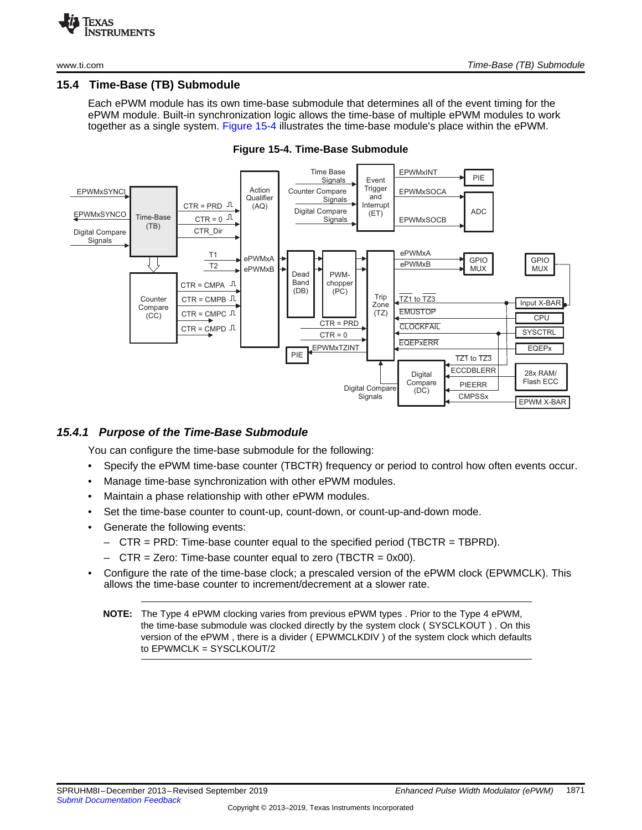

#### <span id="page-7-0"></span>**15.4 Time-Base (TB) Submodule**

Each ePWM module has its own time-base submodule that determines all of the event timing for the ePWM module. Built-in synchronization logic allows the time-base of multiple ePWM modules to work together as a single system. [Figure](#page-7-1) 15-4 illustrates the time-base module's place within the ePWM.

<span id="page-7-1"></span>

**Figure 15-4. Time-Base Submodule**

#### *15.4.1 Purpose of the Time-Base Submodule*

You can configure the time-base submodule for the following:

- Specify the ePWM time-base counter (TBCTR) frequency or period to control how often events occur.
- Manage time-base synchronization with other ePWM modules.
- Maintain a phase relationship with other ePWM modules.
- Set the time-base counter to count-up, count-down, or count-up-and-down mode.
- Generate the following events:
	- CTR = PRD: Time-base counter equal to the specified period (TBCTR = TBPRD).
	- $-$  CTR = Zero: Time-base counter equal to zero (TBCTR = 0x00).
- Configure the rate of the time-base clock; a prescaled version of the ePWM clock (EPWMCLK). This allows the time-base counter to increment/decrement at a slower rate.
	- **NOTE:** The Type 4 ePWM clocking varies from previous ePWM types . Prior to the Type 4 ePWM, the time-base submodule was clocked directly by the system clock ( SYSCLKOUT ) . On this version of the ePWM , there is a divider ( EPWMCLKDIV ) of the system clock which defaults to EPWMCLK = SYSCLKOUT/2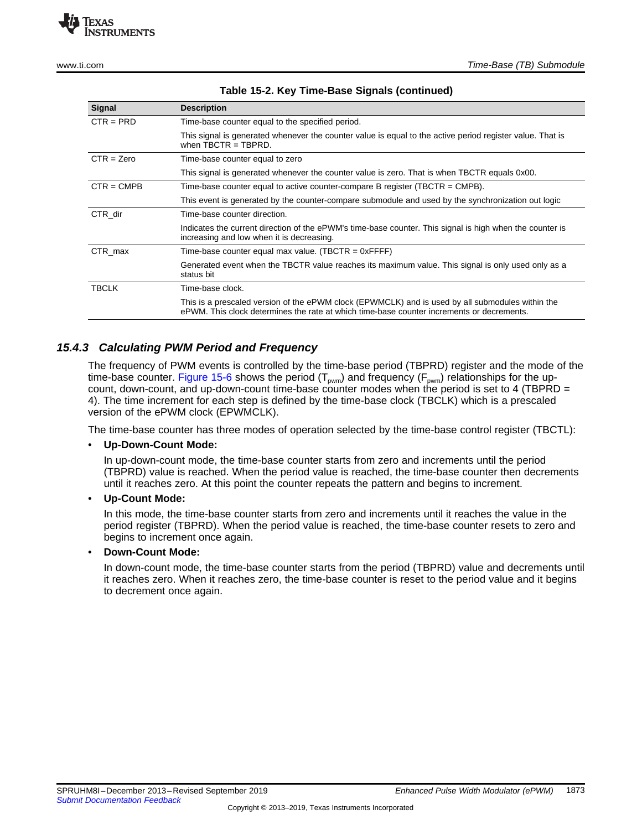

| Signal       | <b>Description</b>                                                                                                                                                                            |
|--------------|-----------------------------------------------------------------------------------------------------------------------------------------------------------------------------------------------|
| $CTR = PRD$  | Time-base counter equal to the specified period.                                                                                                                                              |
|              | This signal is generated whenever the counter value is equal to the active period register value. That is<br>when $TRCTR = TRPRD$ .                                                           |
| $CTR = Zero$ | Time-base counter equal to zero                                                                                                                                                               |
|              | This signal is generated whenever the counter value is zero. That is when TBCTR equals 0x00.                                                                                                  |
| $CTR = CMPB$ | Time-base counter equal to active counter-compare B register (TBCTR = $\text{CMPB}$ ).                                                                                                        |
|              | This event is generated by the counter-compare submodule and used by the synchronization out logic                                                                                            |
| CTR dir      | Time-base counter direction.                                                                                                                                                                  |
|              | Indicates the current direction of the ePWM's time-base counter. This signal is high when the counter is<br>increasing and low when it is decreasing.                                         |
| CTR max      | Time-base counter equal max value. (TBCTR = $0x$ FFFF)                                                                                                                                        |
|              | Generated event when the TBCTR value reaches its maximum value. This signal is only used only as a<br>status bit                                                                              |
| <b>TBCLK</b> | Time-base clock.                                                                                                                                                                              |
|              | This is a prescaled version of the ePWM clock (EPWMCLK) and is used by all submodules within the<br>ePWM. This clock determines the rate at which time-base counter increments or decrements. |

#### **Table 15-2. Key Time-Base Signals (continued)**

## *15.4.3 Calculating PWM Period and Frequency*

The frequency of PWM events is controlled by the time-base period (TBPRD) register and the mode of the time-base counter. [Figure](#page-9-0) 15-6 shows the period ( $T_{pwm}$ ) and frequency ( $F_{pwm}$ ) relationships for the upcount, down-count, and up-down-count time-base counter modes when the period is set to 4 (TBPRD  $=$ 4). The time increment for each step is defined by the time-base clock (TBCLK) which is a prescaled version of the ePWM clock (EPWMCLK).

The time-base counter has three modes of operation selected by the time-base control register (TBCTL):

#### • **Up-Down-Count Mode:**

In up-down-count mode, the time-base counter starts from zero and increments until the period (TBPRD) value is reached. When the period value is reached, the time-base counter then decrements until it reaches zero. At this point the counter repeats the pattern and begins to increment.

#### • **Up-Count Mode:**

In this mode, the time-base counter starts from zero and increments until it reaches the value in the period register (TBPRD). When the period value is reached, the time-base counter resets to zero and begins to increment once again.

#### • **Down-Count Mode:**

In down-count mode, the time-base counter starts from the period (TBPRD) value and decrements until it reaches zero. When it reaches zero, the time-base counter is reset to the period value and it begins to decrement once again.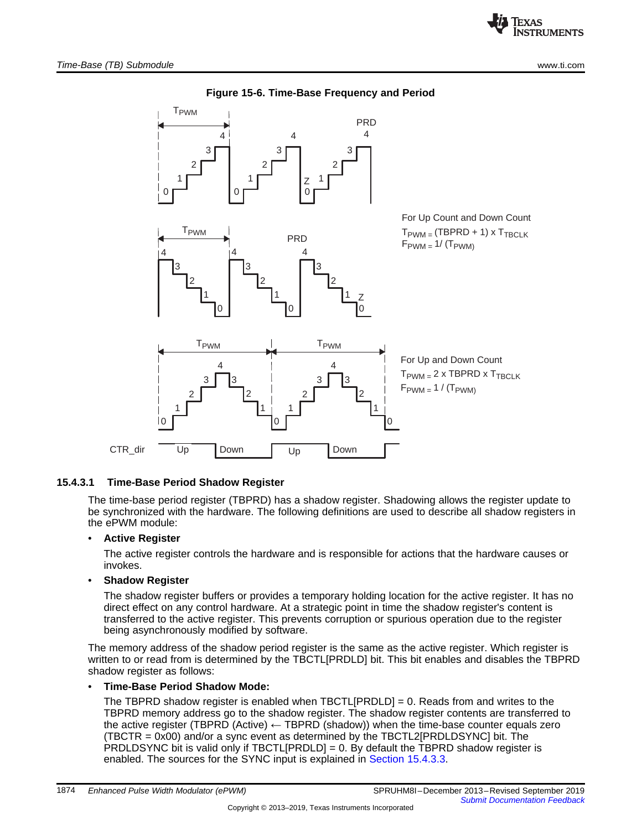<span id="page-9-0"></span>

## **Figure 15-6. Time-Base Frequency and Period**

#### **15.4.3.1 Time-Base Period Shadow Register**

The time-base period register (TBPRD) has a shadow register. Shadowing allows the register update to be synchronized with the hardware. The following definitions are used to describe all shadow registers in the ePWM module:

#### • **Active Register**

The active register controls the hardware and is responsible for actions that the hardware causes or invokes.

#### • **Shadow Register**

The shadow register buffers or provides a temporary holding location for the active register. It has no direct effect on any control hardware. At a strategic point in time the shadow register's content is transferred to the active register. This prevents corruption or spurious operation due to the register being asynchronously modified by software.

The memory address of the shadow period register is the same as the active register. Which register is written to or read from is determined by the TBCTL[PRDLD] bit. This bit enables and disables the TBPRD shadow register as follows:

#### • **Time-Base Period Shadow Mode:**

The TBPRD shadow register is enabled when TBCTL[PRDLD] = 0. Reads from and writes to the TBPRD memory address go to the shadow register. The shadow register contents are transferred to the active register (TBPRD (Active)  $\leftarrow$  TBPRD (shadow)) when the time-base counter equals zero (TBCTR = 0x00) and/or a sync event as determined by the TBCTL2[PRDLDSYNC] bit. The PRDLDSYNC bit is valid only if TBCTL[PRDLD] = 0. By default the TBPRD shadow register is enabled. The sources for the SYNC input is explained in Section [15.4.3.3.](#page--1-5)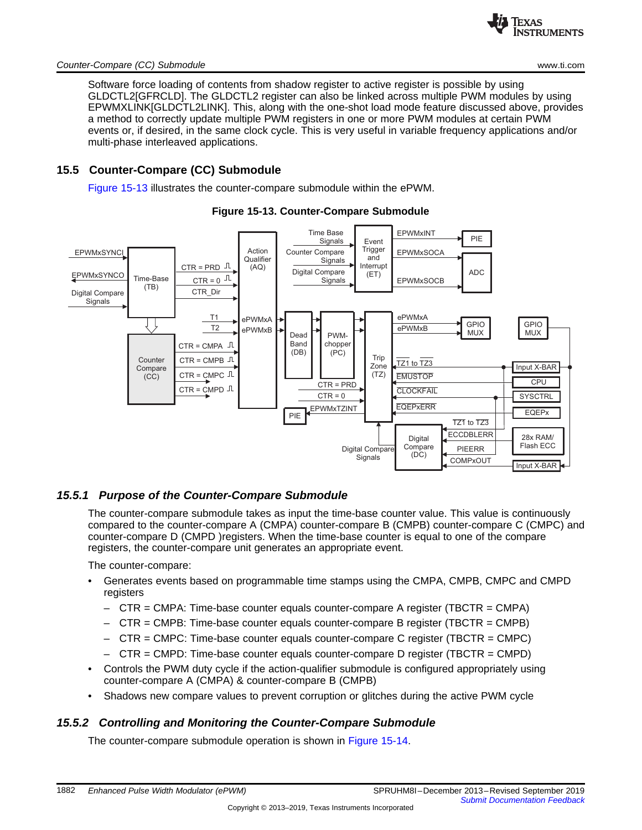

#### *Counter-Compare (CC) Submodule* [www.ti.com](http://www.ti.com)

Software force loading of contents from shadow register to active register is possible by using GLDCTL2[GFRCLD]. The GLDCTL2 register can also be linked across multiple PWM modules by using EPWMXLINK[GLDCTL2LINK]. This, along with the one-shot load mode feature discussed above, provides a method to correctly update multiple PWM registers in one or more PWM modules at certain PWM events or, if desired, in the same clock cycle. This is very useful in variable frequency applications and/or multi-phase interleaved applications.

## <span id="page-10-0"></span>**15.5 Counter-Compare (CC) Submodule**

[Figure](#page-10-1) 15-13 illustrates the counter-compare submodule within the ePWM.

<span id="page-10-1"></span>

## **Figure 15-13. Counter-Compare Submodule**

## *15.5.1 Purpose of the Counter-Compare Submodule*

The counter-compare submodule takes as input the time-base counter value. This value is continuously compared to the counter-compare A (CMPA) counter-compare B (CMPB) counter-compare C (CMPC) and counter-compare D (CMPD )registers. When the time-base counter is equal to one of the compare registers, the counter-compare unit generates an appropriate event.

The counter-compare:

- Generates events based on programmable time stamps using the CMPA, CMPB, CMPC and CMPD registers
	- $-$  CTR = CMPA: Time-base counter equals counter-compare A register (TBCTR = CMPA)
	- CTR = CMPB: Time-base counter equals counter-compare B register (TBCTR = CMPB)
	- $-$  CTR = CMPC: Time-base counter equals counter-compare C register (TBCTR = CMPC)
	- CTR = CMPD: Time-base counter equals counter-compare D register (TBCTR = CMPD)
- Controls the PWM duty cycle if the action-qualifier submodule is configured appropriately using counter-compare A (CMPA) & counter-compare B (CMPB)
- Shadows new compare values to prevent corruption or glitches during the active PWM cycle

## *15.5.2 Controlling and Monitoring the Counter-Compare Submodule*

The counter-compare submodule operation is shown in [Figure](#page--1-6) 15-14.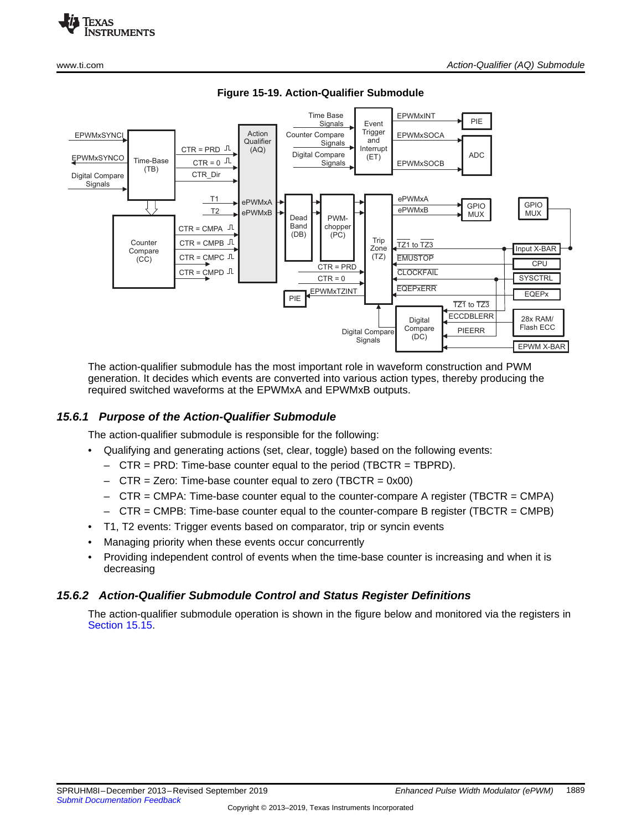



**Figure 15-19. Action-Qualifier Submodule**

The action-qualifier submodule has the most important role in waveform construction and PWM generation. It decides which events are converted into various action types, thereby producing the required switched waveforms at the EPWMxA and EPWMxB outputs.

## *15.6.1 Purpose of the Action-Qualifier Submodule*

The action-qualifier submodule is responsible for the following:

- Qualifying and generating actions (set, clear, toggle) based on the following events:
	- CTR = PRD: Time-base counter equal to the period (TBCTR = TBPRD).
	- CTR = Zero: Time-base counter equal to zero (TBCTR = 0x00)
	- $-$  CTR = CMPA: Time-base counter equal to the counter-compare A register (TBCTR = CMPA)
	- $-$  CTR = CMPB: Time-base counter equal to the counter-compare B register (TBCTR = CMPB)
- T1, T2 events: Trigger events based on comparator, trip or syncin events
- Managing priority when these events occur concurrently
- Providing independent control of events when the time-base counter is increasing and when it is decreasing

## *15.6.2 Action-Qualifier Submodule Control and Status Register Definitions*

The action-qualifier submodule operation is shown in the figure below and monitored via the registers in [Section](#page-18-0) 15.15.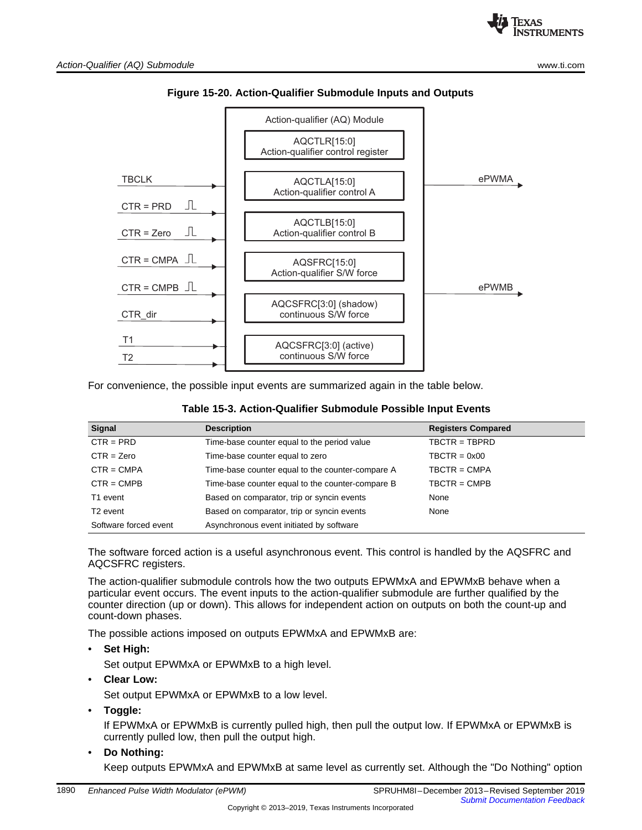



For convenience, the possible input events are summarized again in the table below.

| <b>Signal</b>         | <b>Description</b>                               | <b>Registers Compared</b> |
|-----------------------|--------------------------------------------------|---------------------------|
| $CTR = PRD$           | Time-base counter equal to the period value      | $TBCTR = TBPRD$           |
| $CTR = Zero$          | Time-base counter equal to zero                  | $TBCTR = 0x00$            |
| $CTR = CMPA$          | Time-base counter equal to the counter-compare A | $TBCTR = CMPA$            |
| $CTR = CMPB$          | Time-base counter equal to the counter-compare B | $TBCTR = CMPB$            |
| T1 event              | Based on comparator, trip or syncin events       | None                      |
| T <sub>2</sub> event  | Based on comparator, trip or syncin events       | None                      |
| Software forced event | Asynchronous event initiated by software         |                           |

| Table 15-3. Action-Qualifier Submodule Possible Input Events |  |  |  |
|--------------------------------------------------------------|--|--|--|
|--------------------------------------------------------------|--|--|--|

The software forced action is a useful asynchronous event. This control is handled by the AQSFRC and AQCSFRC registers.

The action-qualifier submodule controls how the two outputs EPWMxA and EPWMxB behave when a particular event occurs. The event inputs to the action-qualifier submodule are further qualified by the counter direction (up or down). This allows for independent action on outputs on both the count-up and count-down phases.

The possible actions imposed on outputs EPWMxA and EPWMxB are:

• **Set High:**

Set output EPWMxA or EPWMxB to a high level.

• **Clear Low:**

Set output EPWMxA or EPWMxB to a low level.

• **Toggle:**

If EPWMxA or EPWMxB is currently pulled high, then pull the output low. If EPWMxA or EPWMxB is currently pulled low, then pull the output high.

• **Do Nothing:**

Keep outputs EPWMxA and EPWMxB at same level as currently set. Although the "Do Nothing" option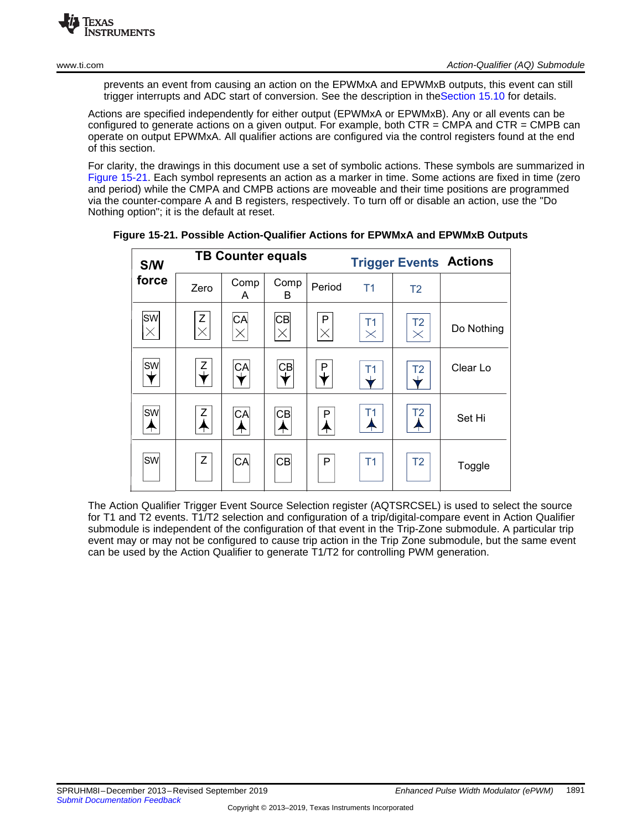prevents an event from causing an action on the EPWMxA and EPWMxB outputs, this event can still trigger interrupts and ADC start of conversion. See the description in th[eSection](#page-17-0) 15.10 for details.

Actions are specified independently for either output (EPWMxA or EPWMxB). Any or all events can be configured to generate actions on a given output. For example, both CTR = CMPA and CTR = CMPB can operate on output EPWMxA. All qualifier actions are configured via the control registers found at the end of this section.

<span id="page-13-0"></span>For clarity, the drawings in this document use a set of symbolic actions. These symbols are summarized in [Figure](#page-13-0) 15-21. Each symbol represents an action as a marker in time. Some actions are fixed in time (zero and period) while the CMPA and CMPB actions are moveable and their time positions are programmed via the counter-compare A and B registers, respectively. To turn off or disable an action, use the "Do Nothing option"; it is the default at reset.

| <b>S/W</b>            |               | <b>TB Counter equals</b> |                         |               |                        | <b>Trigger Events Actions</b> |            |
|-----------------------|---------------|--------------------------|-------------------------|---------------|------------------------|-------------------------------|------------|
| force                 | Zero          | Comp<br>A                | Comp<br>B               | Period        | T <sub>1</sub>         | T <sub>2</sub>                |            |
| <b>SW</b><br>$\times$ | Ζ<br>$\times$ | CA<br>$\times$           | <b>CB</b><br>$\times$   | P<br>$\times$ | T1<br>$\times$         | T <sub>2</sub><br>$\times$    | Do Nothing |
| <b>SW</b>             | Z             | $C_A$                    | $\overline{\mathbf{C}}$ | P             | Τ1                     | T <sub>2</sub>                | Clear Lo   |
| <b>SW</b><br>╇        | Z             | CA<br>₳                  | <b>CB</b><br>₳          | P             | T1<br>$\blacktriangle$ | T <sub>2</sub><br>╇           | Set Hi     |
| <b>SW</b>             | Z             | CA                       | C <sub>B</sub>          | P             | T1                     | T <sub>2</sub>                | Toggle     |

**Figure 15-21. Possible Action-Qualifier Actions for EPWMxA and EPWMxB Outputs**

The Action Qualifier Trigger Event Source Selection register (AQTSRCSEL) is used to select the source for T1 and T2 events. T1/T2 selection and configuration of a trip/digital-compare event in Action Qualifier submodule is independent of the configuration of that event in the Trip-Zone submodule. A particular trip event may or may not be configured to cause trip action in the Trip Zone submodule, but the same event can be used by the Action Qualifier to generate T1/T2 for controlling PWM generation.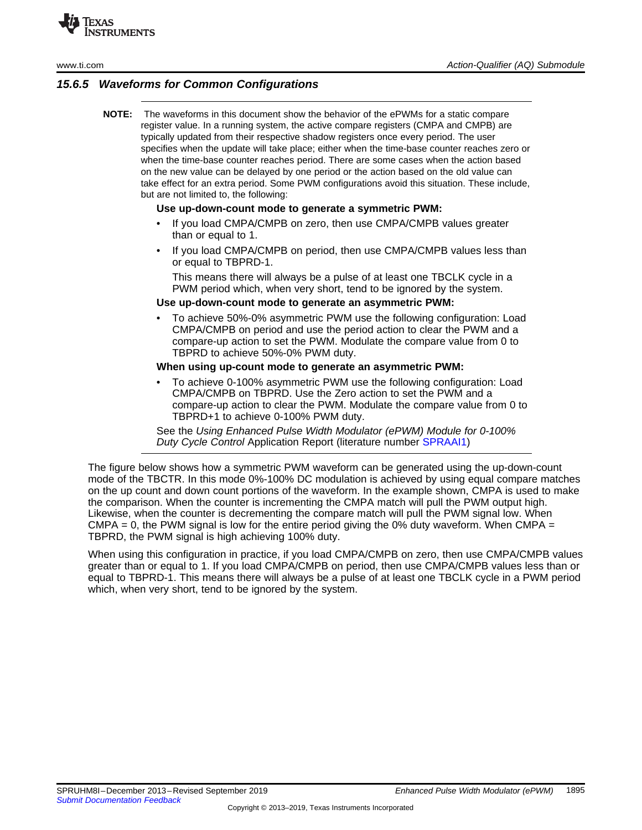

## *15.6.5 Waveforms for Common Configurations*

**NOTE:** The waveforms in this document show the behavior of the ePWMs for a static compare register value. In a running system, the active compare registers (CMPA and CMPB) are typically updated from their respective shadow registers once every period. The user specifies when the update will take place; either when the time-base counter reaches zero or when the time-base counter reaches period. There are some cases when the action based on the new value can be delayed by one period or the action based on the old value can take effect for an extra period. Some PWM configurations avoid this situation. These include, but are not limited to, the following:

#### **Use up-down-count mode to generate a symmetric PWM:**

- If you load CMPA/CMPB on zero, then use CMPA/CMPB values greater than or equal to 1.
- If you load CMPA/CMPB on period, then use CMPA/CMPB values less than or equal to TBPRD-1.

This means there will always be a pulse of at least one TBCLK cycle in a PWM period which, when very short, tend to be ignored by the system.

#### **Use up-down-count mode to generate an asymmetric PWM:**

• To achieve 50%-0% asymmetric PWM use the following configuration: Load CMPA/CMPB on period and use the period action to clear the PWM and a compare-up action to set the PWM. Modulate the compare value from 0 to TBPRD to achieve 50%-0% PWM duty.

#### **When using up-count mode to generate an asymmetric PWM:**

• To achieve 0-100% asymmetric PWM use the following configuration: Load CMPA/CMPB on TBPRD. Use the Zero action to set the PWM and a compare-up action to clear the PWM. Modulate the compare value from 0 to TBPRD+1 to achieve 0-100% PWM duty.

See the *Using Enhanced Pulse Width Modulator (ePWM) Module for 0-100% Duty Cycle Control* Application Report (literature number [SPRAAI1](http://www.ti.com/lit/pdf/spraai1))

The figure below shows how a symmetric PWM waveform can be generated using the up-down-count mode of the TBCTR. In this mode 0%-100% DC modulation is achieved by using equal compare matches on the up count and down count portions of the waveform. In the example shown, CMPA is used to make the comparison. When the counter is incrementing the CMPA match will pull the PWM output high. Likewise, when the counter is decrementing the compare match will pull the PWM signal low. When  $CMPA = 0$ , the PWM signal is low for the entire period giving the 0% duty waveform. When CMPA = TBPRD, the PWM signal is high achieving 100% duty.

When using this configuration in practice, if you load CMPA/CMPB on zero, then use CMPA/CMPB values greater than or equal to 1. If you load CMPA/CMPB on period, then use CMPA/CMPB values less than or equal to TBPRD-1. This means there will always be a pulse of at least one TBCLK cycle in a PWM period which, when very short, tend to be ignored by the system.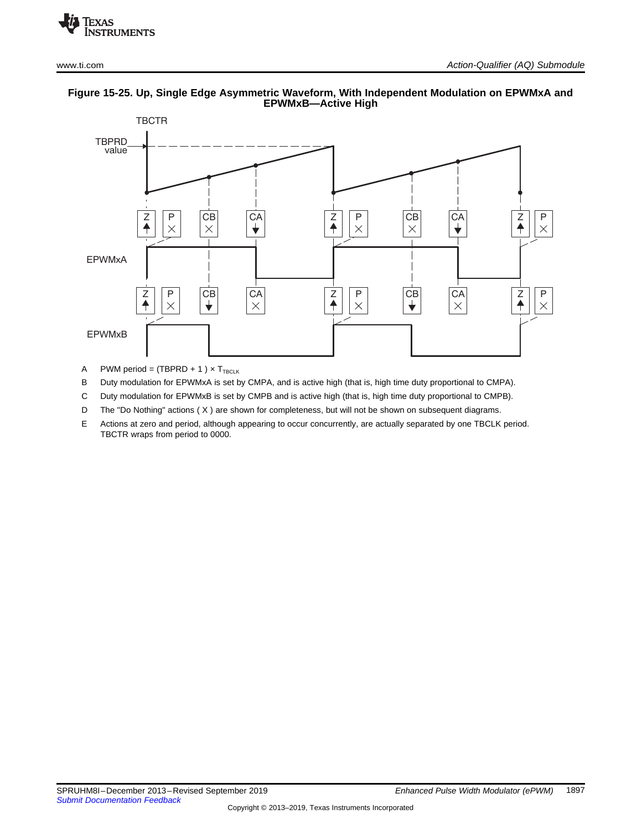

#### **Figure 15-25. Up, Single Edge Asymmetric Waveform, With Independent Modulation on EPWMxA and EPWMxB—Active High**

A PWM period =  $(TBPRD + 1) \times T_{TBCLK}$ 

B Duty modulation for EPWMxA is set by CMPA, and is active high (that is, high time duty proportional to CMPA).

C Duty modulation for EPWMxB is set by CMPB and is active high (that is, high time duty proportional to CMPB).

D The "Do Nothing" actions (X) are shown for completeness, but will not be shown on subsequent diagrams.

E Actions at zero and period, although appearing to occur concurrently, are actually separated by one TBCLK period. TBCTR wraps from period to 0000.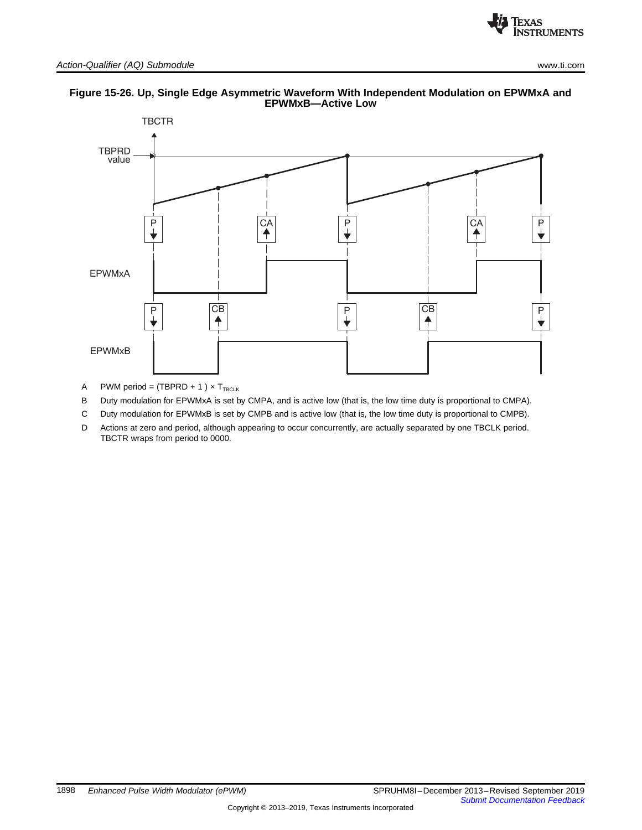



#### **Figure 15-26. Up, Single Edge Asymmetric Waveform With Independent Modulation on EPWMxA and EPWMxB—Active Low**

- A PWM period =  $(TBPRD + 1) \times T_{TBCLK}$
- B Duty modulation for EPWMxA is set by CMPA, and is active low (that is, the low time duty is proportional to CMPA).
- C Duty modulation for EPWMxB is set by CMPB and is active low (that is, the low time duty is proportional to CMPB).
- D Actions at zero and period, although appearing to occur concurrently, are actually separated by one TBCLK period. TBCTR wraps from period to 0000.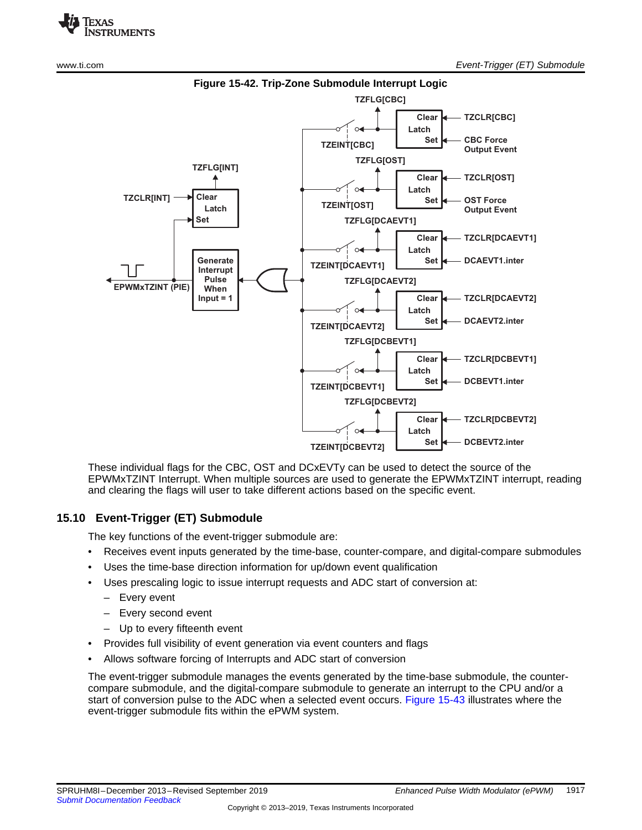



These individual flags for the CBC, OST and DCxEVTy can be used to detect the source of the EPWMxTZINT Interrupt. When multiple sources are used to generate the EPWMxTZINT interrupt, reading and clearing the flags will user to take different actions based on the specific event.

## <span id="page-17-0"></span>**15.10 Event-Trigger (ET) Submodule**

The key functions of the event-trigger submodule are:

- Receives event inputs generated by the time-base, counter-compare, and digital-compare submodules
- Uses the time-base direction information for up/down event qualification
- Uses prescaling logic to issue interrupt requests and ADC start of conversion at:
	- Every event
	- Every second event
	- Up to every fifteenth event
- Provides full visibility of event generation via event counters and flags
- Allows software forcing of Interrupts and ADC start of conversion

The event-trigger submodule manages the events generated by the time-base submodule, the countercompare submodule, and the digital-compare submodule to generate an interrupt to the CPU and/or a start of conversion pulse to the ADC when a selected event occurs. [Figure](#page--1-6) 15-43 illustrates where the event-trigger submodule fits within the ePWM system.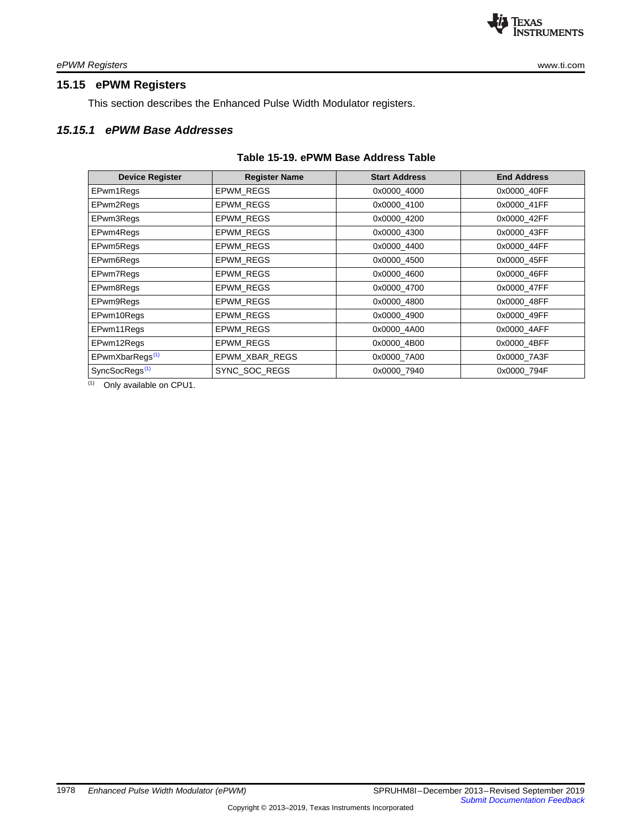## <span id="page-18-0"></span>**15.15 ePWM Registers**

This section describes the Enhanced Pulse Width Modulator registers.

## *15.15.1 ePWM Base Addresses*

#### **Table 15-19. ePWM Base Address Table**

| <b>Device Register</b>      | <b>Register Name</b> | <b>Start Address</b> | <b>End Address</b> |
|-----------------------------|----------------------|----------------------|--------------------|
| EPwm1Regs                   | EPWM_REGS            | 0x0000 4000          | 0x0000 40FF        |
| EPwm2Regs                   | <b>EPWM REGS</b>     | 0x0000 4100          | 0x0000_41FF        |
| EPwm3Regs                   | <b>EPWM REGS</b>     | 0x0000 4200          | 0x0000 42FF        |
| EPwm4Regs                   | <b>EPWM REGS</b>     | 0x0000 4300          | 0x0000_43FF        |
| EPwm5Regs                   | EPWM REGS            | 0x0000_4400          | 0x0000_44FF        |
| EPwm6Regs                   | <b>EPWM REGS</b>     | 0x0000 4500          | 0x0000 45FF        |
| EPwm7Regs                   | <b>EPWM REGS</b>     | 0x0000 4600          | 0x0000 46FF        |
| EPwm8Regs                   | EPWM_REGS            | 0x0000_4700          | 0x0000_47FF        |
| EPwm9Regs                   | EPWM_REGS            | 0x0000 4800          | 0x0000_48FF        |
| EPwm10Regs                  | EPWM_REGS            | 0x0000_4900          | 0x0000_49FF        |
| EPwm11Regs                  | EPWM_REGS            | 0x0000 4A00          | 0x0000_4AFF        |
| EPwm12Regs                  | EPWM REGS            | 0x0000_4B00          | 0x0000_4BFF        |
| EPwmXbarRegs <sup>(1)</sup> | EPWM XBAR REGS       | 0x0000 7A00          | 0x0000_7A3F        |
| SyncSocRegs <sup>(1)</sup>  | SYNC_SOC_REGS        | 0x0000 7940          | 0x0000_794F        |

(1) Only available on CPU1.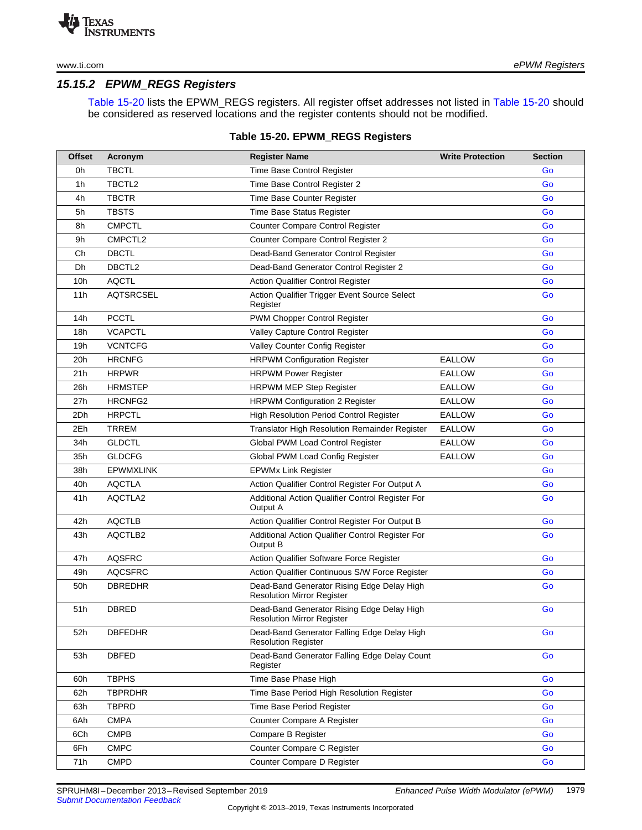## *15.15.2 EPWM\_REGS Registers*

Table [15-20](#page-19-0) lists the EPWM\_REGS registers. All register offset addresses not listed in Table [15-20](#page-19-0) should be considered as reserved locations and the register contents should not be modified.

#### **Table 15-20. EPWM\_REGS Registers**

<span id="page-19-0"></span>

| <b>Offset</b> | Acronym          | <b>Register Name</b>                                                            | <b>Write Protection</b> | <b>Section</b> |
|---------------|------------------|---------------------------------------------------------------------------------|-------------------------|----------------|
| 0h            | <b>TBCTL</b>     | Time Base Control Register                                                      |                         | Go             |
| 1h            | TBCTL2           | Time Base Control Register 2                                                    |                         | Go             |
| 4h            | <b>TBCTR</b>     | Time Base Counter Register                                                      |                         | Go             |
| 5h            | <b>TBSTS</b>     | Time Base Status Register                                                       |                         | Go             |
| 8h            | <b>CMPCTL</b>    | <b>Counter Compare Control Register</b>                                         |                         | Go             |
| 9h            | CMPCTL2          | Counter Compare Control Register 2                                              |                         | Go             |
| Ch            | <b>DBCTL</b>     | Dead-Band Generator Control Register                                            |                         | Go             |
| Dh            | DBCTL2           | Dead-Band Generator Control Register 2                                          |                         | Go             |
| 10h           | <b>AQCTL</b>     | <b>Action Qualifier Control Register</b>                                        |                         | Go             |
| 11h           | <b>AQTSRCSEL</b> | Action Qualifier Trigger Event Source Select<br>Register                        |                         | Go             |
| 14h           | <b>PCCTL</b>     | PWM Chopper Control Register                                                    |                         | Go             |
| 18h           | <b>VCAPCTL</b>   | Valley Capture Control Register                                                 |                         | Go             |
| 19h           | <b>VCNTCFG</b>   | Valley Counter Config Register                                                  |                         | Go             |
| 20h           | <b>HRCNFG</b>    | <b>HRPWM Configuration Register</b>                                             | <b>EALLOW</b>           | Go             |
| 21 h          | <b>HRPWR</b>     | <b>HRPWM Power Register</b>                                                     | <b>EALLOW</b>           | Go             |
| 26h           | HRMSTEP          | <b>HRPWM MEP Step Register</b>                                                  | <b>EALLOW</b>           | Go             |
| 27h           | HRCNFG2          | <b>HRPWM Configuration 2 Register</b>                                           | <b>EALLOW</b>           | Go             |
| 2Dh           | <b>HRPCTL</b>    | <b>High Resolution Period Control Register</b>                                  | <b>EALLOW</b>           | Go             |
| 2Eh           | <b>TRREM</b>     | <b>Translator High Resolution Remainder Register</b>                            | <b>EALLOW</b>           | Go             |
| 34h           | <b>GLDCTL</b>    | Global PWM Load Control Register                                                | <b>EALLOW</b>           | Go             |
| 35h           | <b>GLDCFG</b>    | Global PWM Load Config Register                                                 | <b>EALLOW</b>           | Go             |
| 38h           | <b>EPWMXLINK</b> | <b>EPWMx Link Register</b>                                                      |                         | Go             |
| 40h           | <b>AQCTLA</b>    | Action Qualifier Control Register For Output A                                  |                         | Go             |
| 41 h          | AQCTLA2          | Additional Action Qualifier Control Register For<br>Output A                    |                         | Go             |
| 42h           | <b>AQCTLB</b>    | Action Qualifier Control Register For Output B                                  |                         | Go             |
| 43h           | AQCTLB2          | Additional Action Qualifier Control Register For<br>Output B                    |                         | Go             |
| 47h           | <b>AQSFRC</b>    | Action Qualifier Software Force Register                                        |                         | Go             |
| 49h           | <b>AQCSFRC</b>   | Action Qualifier Continuous S/W Force Register                                  |                         | Go             |
| 50h           | <b>DBREDHR</b>   | Dead-Band Generator Rising Edge Delay High<br><b>Resolution Mirror Register</b> |                         | Go             |
| 51 h          | DBRED            | Dead-Band Generator Rising Edge Delay High<br><b>Resolution Mirror Register</b> |                         | Go             |
| 52h           | <b>DBFEDHR</b>   | Dead-Band Generator Falling Edge Delay High<br><b>Resolution Register</b>       |                         | Go             |
| 53h           | <b>DBFED</b>     | Dead-Band Generator Falling Edge Delay Count<br>Register                        |                         | Go             |
| 60h           | <b>TBPHS</b>     | Time Base Phase High                                                            |                         | Go             |
| 62h           | <b>TBPRDHR</b>   | Time Base Period High Resolution Register                                       |                         | Go             |
| 63h           | <b>TBPRD</b>     | Time Base Period Register                                                       |                         | Go             |
| 6Ah           | <b>CMPA</b>      | Counter Compare A Register                                                      |                         | Go             |
| 6Ch           | <b>CMPB</b>      | Compare B Register                                                              |                         | Go             |
| 6Fh           | <b>CMPC</b>      | Counter Compare C Register                                                      |                         | Go             |
| 71h           | <b>CMPD</b>      | Counter Compare D Register                                                      |                         | Go             |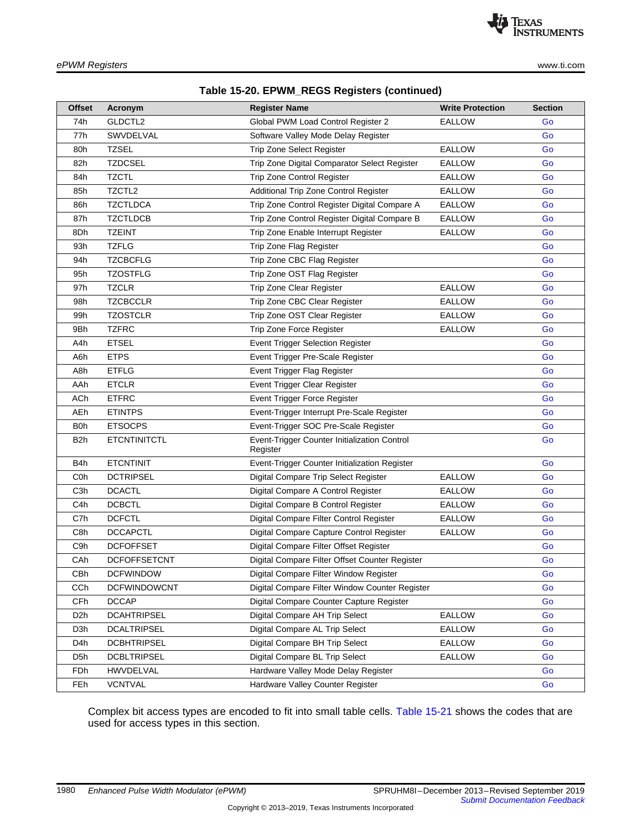| Table 15-20. EPWM_REGS Registers (continued) |  |  |
|----------------------------------------------|--|--|
|----------------------------------------------|--|--|

| <b>Offset</b>    | Acronym             | <b>Register Name</b>                                     | <b>Write Protection</b> | <b>Section</b> |
|------------------|---------------------|----------------------------------------------------------|-------------------------|----------------|
| 74h              | GLDCTL2             | Global PWM Load Control Register 2                       | <b>EALLOW</b>           | Go             |
| 77h              | SWVDELVAL           | Software Valley Mode Delay Register                      |                         | Go             |
| 80h              | <b>TZSEL</b>        | Trip Zone Select Register                                | <b>EALLOW</b>           | Go             |
| 82h              | <b>TZDCSEL</b>      | Trip Zone Digital Comparator Select Register             | <b>EALLOW</b>           | Go             |
| 84h              | <b>TZCTL</b>        | Trip Zone Control Register                               | <b>EALLOW</b>           | Go             |
| 85h              | TZCTL2              | Additional Trip Zone Control Register                    | <b>EALLOW</b>           | Go             |
| 86h              | <b>TZCTLDCA</b>     | Trip Zone Control Register Digital Compare A             | <b>EALLOW</b>           | Go             |
| 87h              | <b>TZCTLDCB</b>     | Trip Zone Control Register Digital Compare B             | <b>EALLOW</b>           | Go             |
| 8Dh              | <b>TZEINT</b>       | Trip Zone Enable Interrupt Register                      | EALLOW                  | Go             |
| 93h              | <b>TZFLG</b>        | Trip Zone Flag Register                                  |                         | Go             |
| 94h              | <b>TZCBCFLG</b>     | Trip Zone CBC Flag Register                              |                         | Go             |
| 95h              | <b>TZOSTFLG</b>     | Trip Zone OST Flag Register                              |                         | Go             |
| 97h              | <b>TZCLR</b>        | Trip Zone Clear Register                                 | <b>EALLOW</b>           | Go             |
| 98h              | <b>TZCBCCLR</b>     | Trip Zone CBC Clear Register                             | <b>EALLOW</b>           | Go             |
| 99h              | <b>TZOSTCLR</b>     | Trip Zone OST Clear Register                             | <b>EALLOW</b>           | Go             |
| 9Bh              | <b>TZFRC</b>        | Trip Zone Force Register                                 | <b>EALLOW</b>           | Go             |
| A4h              | <b>ETSEL</b>        | Event Trigger Selection Register                         |                         | Go             |
| A6h              | <b>ETPS</b>         | Event Trigger Pre-Scale Register                         |                         | Go             |
| A8h              | <b>ETFLG</b>        | Event Trigger Flag Register                              |                         | Go             |
| AAh              | <b>ETCLR</b>        | Event Trigger Clear Register                             |                         | Go             |
| ACh              | <b>ETFRC</b>        | Event Trigger Force Register                             |                         | Go             |
| AEh              | <b>ETINTPS</b>      | Event-Trigger Interrupt Pre-Scale Register               |                         | Go             |
| B <sub>0</sub> h | <b>ETSOCPS</b>      | Event-Trigger SOC Pre-Scale Register                     |                         | Go             |
| B <sub>2</sub> h | <b>ETCNTINITCTL</b> | Event-Trigger Counter Initialization Control<br>Register |                         | Go             |
| B4h              | <b>ETCNTINIT</b>    | Event-Trigger Counter Initialization Register            |                         | Go             |
| C <sub>0</sub> h | <b>DCTRIPSEL</b>    | Digital Compare Trip Select Register                     | <b>EALLOW</b>           | Go             |
| C <sub>3</sub> h | <b>DCACTL</b>       | Digital Compare A Control Register                       | <b>EALLOW</b>           | Go             |
| C <sub>4</sub> h | <b>DCBCTL</b>       | Digital Compare B Control Register                       | <b>EALLOW</b>           | Go             |
| C7h              | <b>DCFCTL</b>       | Digital Compare Filter Control Register                  | <b>EALLOW</b>           | Go             |
| C8h              | <b>DCCAPCTL</b>     | Digital Compare Capture Control Register                 | <b>EALLOW</b>           | Go             |
| C9h              | <b>DCFOFFSET</b>    | Digital Compare Filter Offset Register                   |                         | Go             |
| CAh              | <b>DCFOFFSETCNT</b> | Digital Compare Filter Offset Counter Register           |                         | Go             |
| CBh              | <b>DCFWINDOW</b>    | Digital Compare Filter Window Register                   |                         | Go             |
| CC <sub>h</sub>  | DCFWINDOWCNT        | Digital Compare Filter Window Counter Register           |                         | Go             |
| <b>CFh</b>       | <b>DCCAP</b>        | Digital Compare Counter Capture Register                 |                         | Go             |
| D <sub>2</sub> h | <b>DCAHTRIPSEL</b>  | Digital Compare AH Trip Select                           | EALLOW                  | Go             |
| D <sub>3</sub> h | <b>DCALTRIPSEL</b>  | Digital Compare AL Trip Select                           | <b>EALLOW</b>           | Go             |
| D <sub>4</sub> h | <b>DCBHTRIPSEL</b>  | Digital Compare BH Trip Select                           | <b>EALLOW</b>           | Go             |
| D <sub>5</sub> h | <b>DCBLTRIPSEL</b>  | Digital Compare BL Trip Select                           | <b>EALLOW</b>           | Go             |
| <b>FDh</b>       | HWVDELVAL           | Hardware Valley Mode Delay Register                      |                         | Go             |
| <b>FEh</b>       | <b>VCNTVAL</b>      | Hardware Valley Counter Register                         |                         | Go             |

Complex bit access types are encoded to fit into small table cells. Table [15-21](#page-21-0) shows the codes that are used for access types in this section.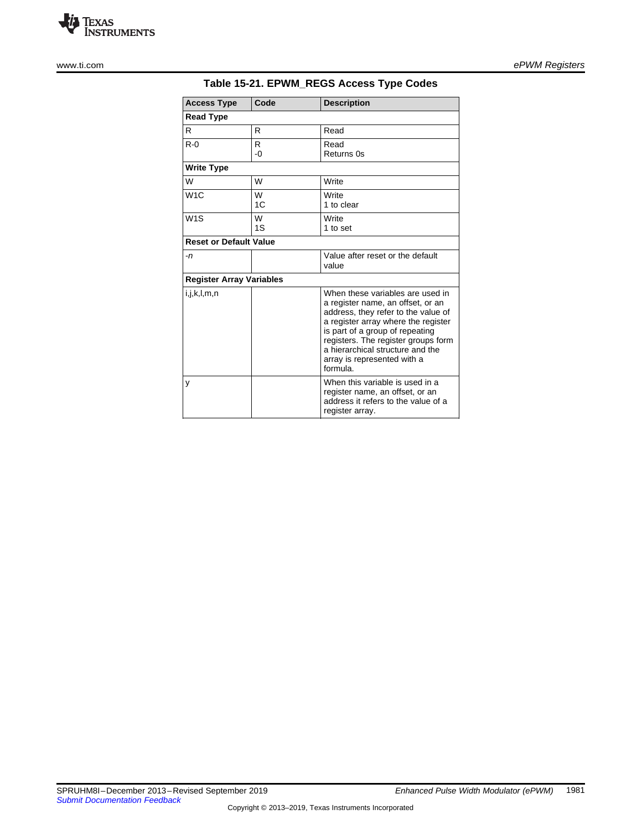

<span id="page-21-0"></span>

| <b>Access Type</b>              | Code    | <b>Description</b>                                                                                                                                                                                                                                                                                           |
|---------------------------------|---------|--------------------------------------------------------------------------------------------------------------------------------------------------------------------------------------------------------------------------------------------------------------------------------------------------------------|
| <b>Read Type</b>                |         |                                                                                                                                                                                                                                                                                                              |
| R                               | R       | Read                                                                                                                                                                                                                                                                                                         |
| $R - 0$                         | R<br>-0 | Read<br>Returns 0s                                                                                                                                                                                                                                                                                           |
| <b>Write Type</b>               |         |                                                                                                                                                                                                                                                                                                              |
| W                               | W       | Write                                                                                                                                                                                                                                                                                                        |
| W <sub>1</sub> C                | W<br>1C | Write<br>1 to clear                                                                                                                                                                                                                                                                                          |
| W <sub>1</sub> S                | W<br>1S | Write<br>1 to set                                                                                                                                                                                                                                                                                            |
| <b>Reset or Default Value</b>   |         |                                                                                                                                                                                                                                                                                                              |
| -n                              |         | Value after reset or the default<br>value                                                                                                                                                                                                                                                                    |
| <b>Register Array Variables</b> |         |                                                                                                                                                                                                                                                                                                              |
| i,j,k,l,m,n                     |         | When these variables are used in<br>a register name, an offset, or an<br>address, they refer to the value of<br>a register array where the register<br>is part of a group of repeating<br>registers. The register groups form<br>a hierarchical structure and the<br>array is represented with a<br>formula. |
| у                               |         | When this variable is used in a<br>register name, an offset, or an<br>address it refers to the value of a<br>register array.                                                                                                                                                                                 |

### **Table 15-21. EPWM\_REGS Access Type Codes**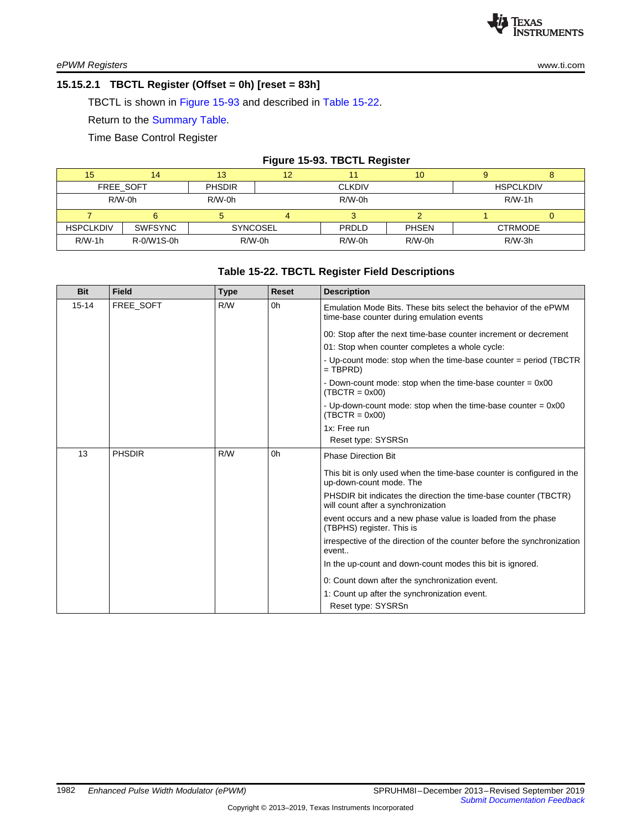#### <span id="page-22-0"></span>**15.15.2.1 TBCTL Register (Offset = 0h) [reset = 83h]**

TBCTL is shown in [Figure](#page-22-1) 15-93 and described in Table [15-22.](#page-22-2)

Return to the [Summary](#page-19-0) Table.

Time Base Control Register

#### **Figure 15-93. TBCTL Register**

<span id="page-22-1"></span>

| 15               |                | 13              | 12 |               | 10           |                  |  |
|------------------|----------------|-----------------|----|---------------|--------------|------------------|--|
|                  | FREE SOFT      | <b>PHSDIR</b>   |    | <b>CLKDIV</b> |              | <b>HSPCLKDIV</b> |  |
|                  | $R/W-0h$       | $R/W-0h$        |    | $R/W-0h$      |              | $R/W-1h$         |  |
|                  |                |                 |    |               |              |                  |  |
| <b>HSPCLKDIV</b> | <b>SWFSYNC</b> | <b>SYNCOSEL</b> |    | PRDLD         | <b>PHSEN</b> | <b>CTRMODE</b>   |  |
| $R/W-1h$         | R-0/W1S-0h     | $R/W-0h$        |    | $R/W-0h$      | $R/W-0h$     | $R/W-3h$         |  |

#### **Table 15-22. TBCTL Register Field Descriptions**

<span id="page-22-2"></span>

| <b>Bit</b> | <b>Field</b>  | <b>Type</b> | <b>Reset</b>   | <b>Description</b>                                                                                           |
|------------|---------------|-------------|----------------|--------------------------------------------------------------------------------------------------------------|
| $15 - 14$  | FREE SOFT     | R/W         | 0h             | Emulation Mode Bits. These bits select the behavior of the ePWM<br>time-base counter during emulation events |
|            |               |             |                | 00: Stop after the next time-base counter increment or decrement                                             |
|            |               |             |                | 01: Stop when counter completes a whole cycle:                                                               |
|            |               |             |                | - Up-count mode: stop when the time-base counter = period (TBCTR<br>$=$ TBPRD)                               |
|            |               |             |                | - Down-count mode: stop when the time-base counter $= 0x00$<br>$(TBCTR = 0x00)$                              |
|            |               |             |                | - Up-down-count mode: stop when the time-base counter $= 0x00$<br>$(TBCTR = 0x00)$                           |
|            |               |             |                | 1x: Free run                                                                                                 |
|            |               |             |                | Reset type: SYSRSn                                                                                           |
| 13         | <b>PHSDIR</b> | R/W         | 0 <sub>h</sub> | <b>Phase Direction Bit</b>                                                                                   |
|            |               |             |                | This bit is only used when the time-base counter is configured in the<br>up-down-count mode. The             |
|            |               |             |                | PHSDIR bit indicates the direction the time-base counter (TBCTR)<br>will count after a synchronization       |
|            |               |             |                | event occurs and a new phase value is loaded from the phase<br>(TBPHS) register. This is                     |
|            |               |             |                | irrespective of the direction of the counter before the synchronization<br>event                             |
|            |               |             |                | In the up-count and down-count modes this bit is ignored.                                                    |
|            |               |             |                | 0: Count down after the synchronization event.                                                               |
|            |               |             |                | 1: Count up after the synchronization event.                                                                 |
|            |               |             |                | Reset type: SYSRSn                                                                                           |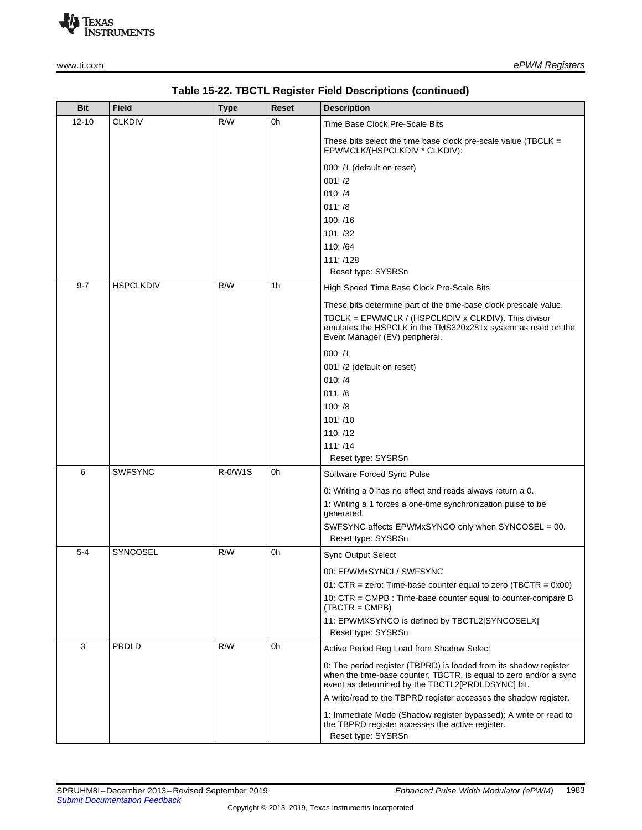

| <b>Bit</b> | <b>Field</b>     | <b>Type</b> | <b>Reset</b> | <b>Description</b>                                                                                                                                                                                                                                                                                                                                                                                                                                         |
|------------|------------------|-------------|--------------|------------------------------------------------------------------------------------------------------------------------------------------------------------------------------------------------------------------------------------------------------------------------------------------------------------------------------------------------------------------------------------------------------------------------------------------------------------|
| $12 - 10$  | <b>CLKDIV</b>    | R/W         | 0h           | Time Base Clock Pre-Scale Bits<br>These bits select the time base clock pre-scale value (TBCLK $=$<br>EPWMCLK/(HSPCLKDIV * CLKDIV):<br>000: /1 (default on reset)<br>001: /2                                                                                                                                                                                                                                                                               |
|            |                  |             |              | 010: /4<br>011: /8<br>100:/16<br>101: /32<br>110: /64<br>111:/128<br>Reset type: SYSRSn                                                                                                                                                                                                                                                                                                                                                                    |
| $9 - 7$    | <b>HSPCLKDIV</b> | R/W         | 1h           | High Speed Time Base Clock Pre-Scale Bits<br>These bits determine part of the time-base clock prescale value.<br>TBCLK = EPWMCLK / (HSPCLKDIV x CLKDIV). This divisor<br>emulates the HSPCLK in the TMS320x281x system as used on the<br>Event Manager (EV) peripheral.<br>000: /1<br>001: /2 (default on reset)<br>010: /4<br>011: /6<br>100: /8<br>101: /10<br>110:/12<br>111: /14<br>Reset type: SYSRSn                                                 |
| 6          | <b>SWFSYNC</b>   | R-0/W1S     | 0h           | Software Forced Sync Pulse<br>0: Writing a 0 has no effect and reads always return a 0.<br>1: Writing a 1 forces a one-time synchronization pulse to be<br>generated.<br>SWFSYNC affects EPWMxSYNCO only when SYNCOSEL = 00.<br>Reset type: SYSRSn                                                                                                                                                                                                         |
| $5 - 4$    | <b>SYNCOSEL</b>  | R/W         | 0h           | <b>Sync Output Select</b><br>00: EPWMxSYNCI / SWFSYNC<br>01: $CTR = zero$ : Time-base counter equal to zero (TBCTR = 0x00)<br>10: CTR = CMPB : Time-base counter equal to counter-compare B<br>$(TBCTR = CMPB)$<br>11: EPWMXSYNCO is defined by TBCTL2[SYNCOSELX]<br>Reset type: SYSRSn                                                                                                                                                                    |
| 3          | <b>PRDLD</b>     | R/W         | 0h           | Active Period Reg Load from Shadow Select<br>0. The period register (TBPRD) is loaded from its shadow register<br>when the time-base counter, TBCTR, is equal to zero and/or a sync<br>event as determined by the TBCTL2[PRDLDSYNC] bit.<br>A write/read to the TBPRD register accesses the shadow register.<br>1: Immediate Mode (Shadow register bypassed): A write or read to<br>the TBPRD register accesses the active register.<br>Reset type: SYSRSn |

**Table 15-22. TBCTL Register Field Descriptions (continued)**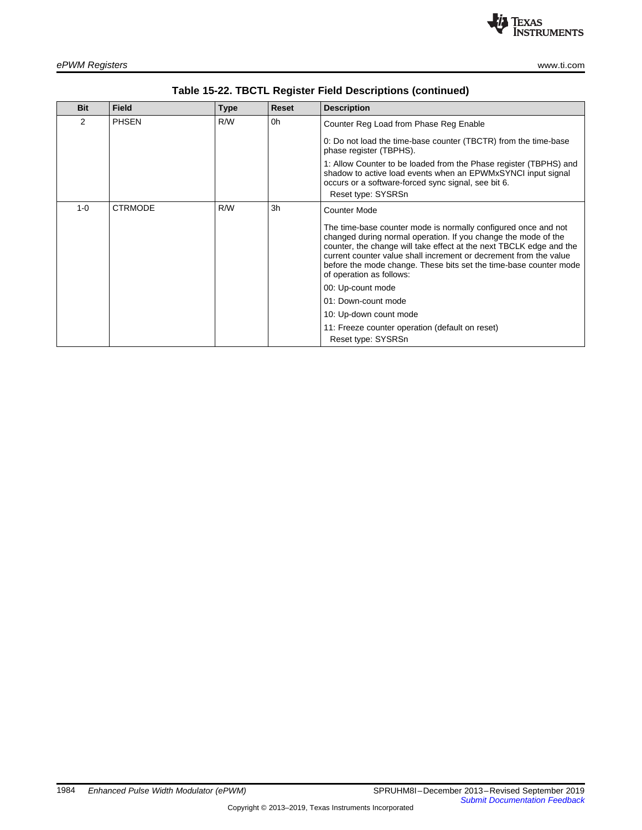

| <b>Bit</b>    | <b>Field</b>   | <b>Type</b> | <b>Reset</b> | <b>Description</b>                                                                                                                                                                                                                                                                                                                                                            |
|---------------|----------------|-------------|--------------|-------------------------------------------------------------------------------------------------------------------------------------------------------------------------------------------------------------------------------------------------------------------------------------------------------------------------------------------------------------------------------|
| $\mathcal{P}$ | <b>PHSEN</b>   | R/W         | 0h           | Counter Reg Load from Phase Reg Enable                                                                                                                                                                                                                                                                                                                                        |
|               |                |             |              | 0: Do not load the time-base counter (TBCTR) from the time-base<br>phase register (TBPHS).                                                                                                                                                                                                                                                                                    |
|               |                |             |              | 1: Allow Counter to be loaded from the Phase register (TBPHS) and<br>shadow to active load events when an EPWMxSYNCI input signal<br>occurs or a software-forced sync signal, see bit 6.<br>Reset type: SYSRSn                                                                                                                                                                |
| $1 - 0$       | <b>CTRMODE</b> | R/W         | 3h           | <b>Counter Mode</b>                                                                                                                                                                                                                                                                                                                                                           |
|               |                |             |              | The time-base counter mode is normally configured once and not<br>changed during normal operation. If you change the mode of the<br>counter, the change will take effect at the next TBCLK edge and the<br>current counter value shall increment or decrement from the value<br>before the mode change. These bits set the time-base counter mode<br>of operation as follows: |
|               |                |             |              | 00: Up-count mode                                                                                                                                                                                                                                                                                                                                                             |
|               |                |             |              | 01: Down-count mode                                                                                                                                                                                                                                                                                                                                                           |
|               |                |             |              | 10: Up-down count mode                                                                                                                                                                                                                                                                                                                                                        |
|               |                |             |              | 11: Freeze counter operation (default on reset)                                                                                                                                                                                                                                                                                                                               |
|               |                |             |              | Reset type: SYSRSn                                                                                                                                                                                                                                                                                                                                                            |

**Table 15-22. TBCTL Register Field Descriptions (continued)**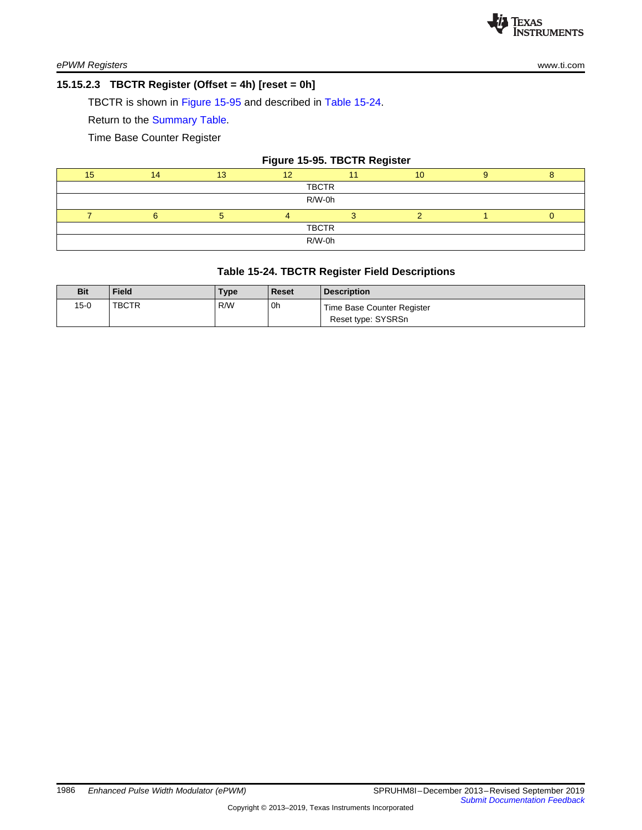#### <span id="page-25-0"></span>**15.15.2.3 TBCTR Register (Offset = 4h) [reset = 0h]**

TBCTR is shown in [Figure](#page-25-1) 15-95 and described in Table [15-24](#page-25-2).

Return to the [Summary](#page-19-0) Table.

Time Base Counter Register

<span id="page-25-1"></span>

| 14           | 13 |  |  | 10                     |  |                              |  |  |  |  |
|--------------|----|--|--|------------------------|--|------------------------------|--|--|--|--|
| <b>TBCTR</b> |    |  |  |                        |  |                              |  |  |  |  |
| R/W-0h       |    |  |  |                        |  |                              |  |  |  |  |
|              |    |  |  |                        |  |                              |  |  |  |  |
|              |    |  |  |                        |  |                              |  |  |  |  |
|              |    |  |  |                        |  |                              |  |  |  |  |
|              |    |  |  | <b>TBCTR</b><br>R/W-0h |  | Figure 15-95. TBCTR Register |  |  |  |  |

#### **Table 15-24. TBCTR Register Field Descriptions**

<span id="page-25-2"></span>

| <b>Bit</b> | <b>Field</b> | <b>Type</b> | <b>Reset</b> | <b>Description</b>                               |
|------------|--------------|-------------|--------------|--------------------------------------------------|
| 15-0       | TBCTR        | R/W         | 0h           | Time Base Counter Register<br>Reset type: SYSRSn |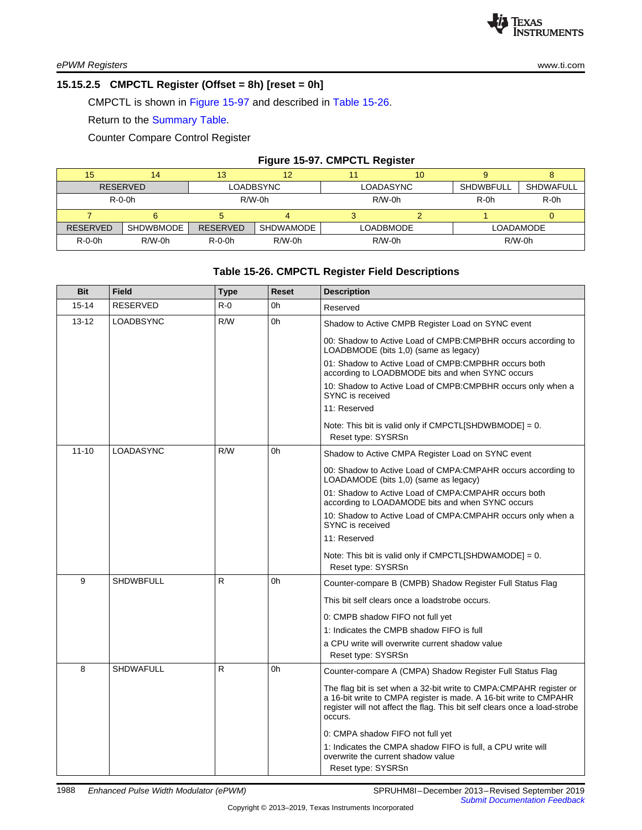#### <span id="page-26-0"></span>**15.15.2.5 CMPCTL Register (Offset = 8h) [reset = 0h]**

CMPCTL is shown in [Figure](#page-26-1) 15-97 and described in Table [15-26](#page-26-2).

Return to the [Summary](#page-19-0) Table.

Counter Compare Control Register

#### **Figure 15-97. CMPCTL Register**

<span id="page-26-1"></span>

| 15              | 14              | 13              | 12               |                  | 10 |                               |           |  |
|-----------------|-----------------|-----------------|------------------|------------------|----|-------------------------------|-----------|--|
|                 | <b>RESERVED</b> |                 | LOADBSYNC        | LOADASYNC        |    | <b>SHDWAFULL</b><br>SHDWBFULL |           |  |
|                 | $R - 0 - 0h$    |                 | $R/W-0h$         | $R/W-0h$         |    | $R-0h$<br>$R-0h$              |           |  |
|                 |                 |                 |                  |                  |    |                               |           |  |
| <b>RESERVED</b> | SHDWBMODE       | <b>RESERVED</b> | <b>SHDWAMODE</b> | <b>LOADBMODE</b> |    |                               | LOADAMODE |  |
| $R-O-Oh$        | $R/W-0h$        | $R - 0 - 0h$    | $R/W-0h$         | $R/W-0h$         |    | $R/W-0h$                      |           |  |

## **Table 15-26. CMPCTL Register Field Descriptions**

<span id="page-26-2"></span>

| <b>Bit</b> | <b>Field</b>     | <b>Type</b> | <b>Reset</b> | <b>Description</b>                                                                                                                                                                                                               |
|------------|------------------|-------------|--------------|----------------------------------------------------------------------------------------------------------------------------------------------------------------------------------------------------------------------------------|
| $15 - 14$  | <b>RESERVED</b>  | $R - 0$     | 0h           | Reserved                                                                                                                                                                                                                         |
| $13 - 12$  | <b>LOADBSYNC</b> | R/W         | 0h           | Shadow to Active CMPB Register Load on SYNC event                                                                                                                                                                                |
|            |                  |             |              | 00: Shadow to Active Load of CMPB: CMPBHR occurs according to<br>LOADBMODE (bits 1,0) (same as legacy)                                                                                                                           |
|            |                  |             |              | 01: Shadow to Active Load of CMPB: CMPBHR occurs both<br>according to LOADBMODE bits and when SYNC occurs                                                                                                                        |
|            |                  |             |              | 10: Shadow to Active Load of CMPB: CMPBHR occurs only when a<br>SYNC is received                                                                                                                                                 |
|            |                  |             |              | 11: Reserved                                                                                                                                                                                                                     |
|            |                  |             |              | Note: This bit is valid only if $CMPCTL[SHDWBMODE] = 0$ .                                                                                                                                                                        |
|            |                  |             |              | Reset type: SYSRSn                                                                                                                                                                                                               |
| $11 - 10$  | <b>LOADASYNC</b> | R/W         | 0h           | Shadow to Active CMPA Register Load on SYNC event                                                                                                                                                                                |
|            |                  |             |              | 00: Shadow to Active Load of CMPA:CMPAHR occurs according to<br>LOADAMODE (bits 1,0) (same as legacy)                                                                                                                            |
|            |                  |             |              | 01: Shadow to Active Load of CMPA:CMPAHR occurs both<br>according to LOADAMODE bits and when SYNC occurs                                                                                                                         |
|            |                  |             |              | 10: Shadow to Active Load of CMPA: CMPAHR occurs only when a<br>SYNC is received                                                                                                                                                 |
|            |                  |             |              | 11: Reserved                                                                                                                                                                                                                     |
|            |                  |             |              | Note: This bit is valid only if $CMPCTL[SHDWAMODE] = 0$ .<br>Reset type: SYSRSn                                                                                                                                                  |
| 9          | <b>SHDWBFULL</b> | R           | 0h           | Counter-compare B (CMPB) Shadow Register Full Status Flag                                                                                                                                                                        |
|            |                  |             |              | This bit self clears once a loadstrobe occurs.                                                                                                                                                                                   |
|            |                  |             |              | 0: CMPB shadow FIFO not full yet                                                                                                                                                                                                 |
|            |                  |             |              | 1: Indicates the CMPB shadow FIFO is full                                                                                                                                                                                        |
|            |                  |             |              | a CPU write will overwrite current shadow value                                                                                                                                                                                  |
| 8          | <b>SHDWAFULL</b> |             |              | Reset type: SYSRSn                                                                                                                                                                                                               |
|            |                  | R           | 0h           | Counter-compare A (CMPA) Shadow Register Full Status Flag                                                                                                                                                                        |
|            |                  |             |              | The flag bit is set when a 32-bit write to CMPA:CMPAHR register or<br>a 16-bit write to CMPA register is made. A 16-bit write to CMPAHR<br>register will not affect the flag. This bit self clears once a load-strobe<br>occurs. |
|            |                  |             |              | 0: CMPA shadow FIFO not full yet                                                                                                                                                                                                 |
|            |                  |             |              | 1: Indicates the CMPA shadow FIFO is full, a CPU write will<br>overwrite the current shadow value                                                                                                                                |
|            |                  |             |              | Reset type: SYSRSn                                                                                                                                                                                                               |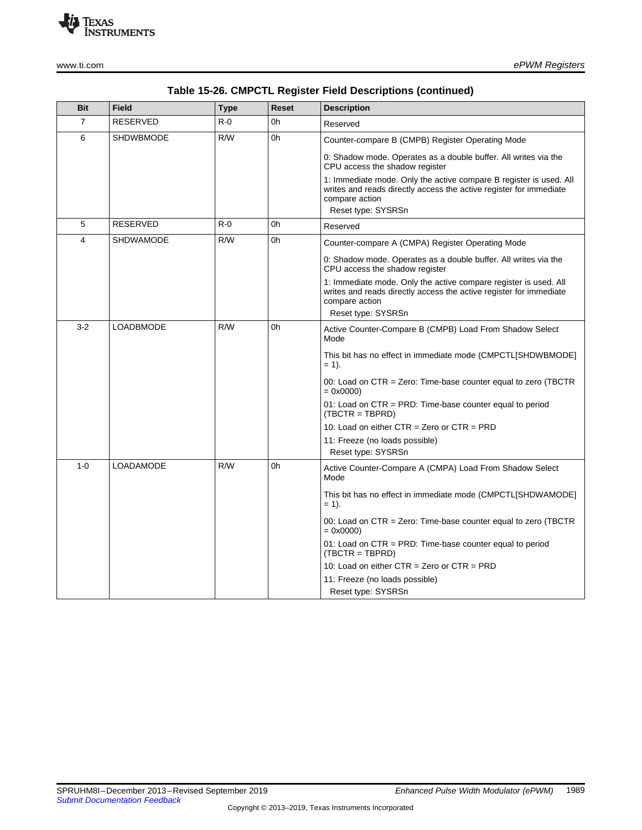

| Table 15-26. CMPCTL Register Field Descriptions (continued) |  |  |  |
|-------------------------------------------------------------|--|--|--|
|-------------------------------------------------------------|--|--|--|

| Reserved                                                                                                                                                       |  |  |  |
|----------------------------------------------------------------------------------------------------------------------------------------------------------------|--|--|--|
| Counter-compare B (CMPB) Register Operating Mode                                                                                                               |  |  |  |
| 0: Shadow mode. Operates as a double buffer. All writes via the<br>CPU access the shadow register                                                              |  |  |  |
| 1: Immediate mode. Only the active compare B register is used. All<br>writes and reads directly access the active register for immediate<br>Reset type: SYSRSn |  |  |  |
|                                                                                                                                                                |  |  |  |
| Counter-compare A (CMPA) Register Operating Mode                                                                                                               |  |  |  |
|                                                                                                                                                                |  |  |  |
| 0: Shadow mode. Operates as a double buffer. All writes via the<br>CPU access the shadow register                                                              |  |  |  |
| 1: Immediate mode. Only the active compare register is used. All<br>writes and reads directly access the active register for immediate<br>Reset type: SYSRSn   |  |  |  |
| Active Counter-Compare B (CMPB) Load From Shadow Select                                                                                                        |  |  |  |
| This bit has no effect in immediate mode (CMPCTL[SHDWBMODE]                                                                                                    |  |  |  |
| 00: Load on CTR = Zero: Time-base counter equal to zero (TBCTR                                                                                                 |  |  |  |
| 01: Load on $CTR = PRD$ : Time-base counter equal to period<br>$(TBCTR = TBPRD)$                                                                               |  |  |  |
| 10: Load on either $CTR = Zero$ or $CTR = PRD$                                                                                                                 |  |  |  |
| 11: Freeze (no loads possible)                                                                                                                                 |  |  |  |
| Reset type: SYSRSn                                                                                                                                             |  |  |  |
| Active Counter-Compare A (CMPA) Load From Shadow Select                                                                                                        |  |  |  |
| This bit has no effect in immediate mode (CMPCTL[SHDWAMODE]                                                                                                    |  |  |  |
| 00: Load on CTR = Zero: Time-base counter equal to zero (TBCTR                                                                                                 |  |  |  |
| 01: Load on $CTR = PRD$ : Time-base counter equal to period<br>$(TBCTR = TBPRD)$                                                                               |  |  |  |
| 10: Load on either $CTR = Zero$ or $CTR = PRD$                                                                                                                 |  |  |  |
| 11: Freeze (no loads possible)<br>Reset type: SYSRSn                                                                                                           |  |  |  |
|                                                                                                                                                                |  |  |  |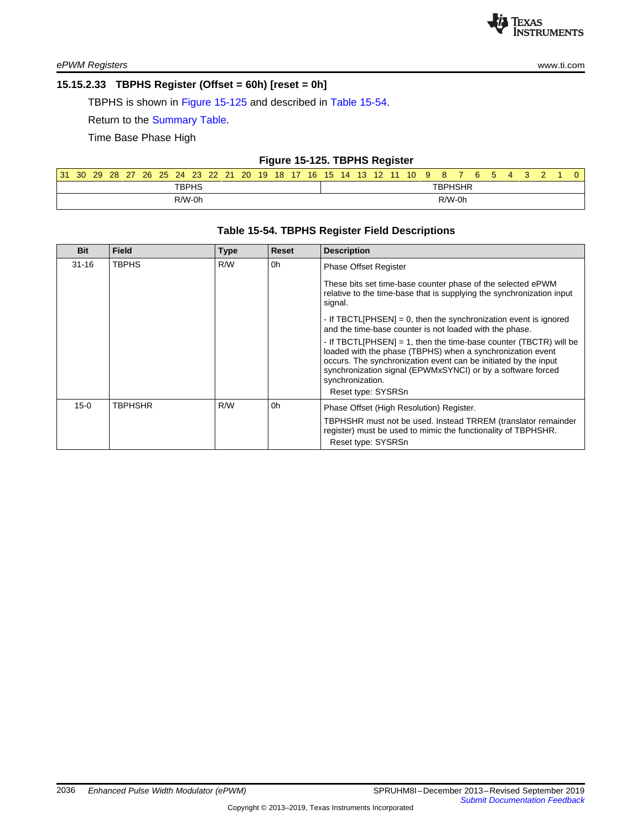

*ePWM Registers* [www.ti.com](http://www.ti.com)

### <span id="page-28-0"></span>**15.15.2.33 TBPHS Register (Offset = 60h) [reset = 0h]**

TBPHS is shown in Figure [15-125](#page-28-1) and described in Table [15-54](#page-28-2).

Return to the [Summary](#page-19-0) Table.

Time Base Phase High

### **Figure 15-125. TBPHS Register**

<span id="page-28-1"></span>

| 31 | 30 | 29 | 28 | 27 | 26 | 25 | 24 | <b>23</b>    | 22 | 21 | 20 | 19 <sup>°</sup> | 18 | 17 | 16 | 15 | 14 | 13 <sup>°</sup> | 12 | 11 | 10 <sup>1</sup> | 9 | 8              | 6 | $\ddot{\phantom{1}}$ | 4 |  |  |
|----|----|----|----|----|----|----|----|--------------|----|----|----|-----------------|----|----|----|----|----|-----------------|----|----|-----------------|---|----------------|---|----------------------|---|--|--|
|    |    |    |    |    |    |    |    | <b>TBPHS</b> |    |    |    |                 |    |    |    |    |    |                 |    |    |                 |   | <b>TBPHSHR</b> |   |                      |   |  |  |
|    |    |    |    |    |    |    |    | R/W-0h       |    |    |    |                 |    |    |    |    |    |                 |    |    |                 |   | $R/W-0h$       |   |                      |   |  |  |

### **Table 15-54. TBPHS Register Field Descriptions**

<span id="page-28-2"></span>

| <b>Bit</b> | <b>Field</b>   | <b>Type</b> | Reset | <b>Description</b>                                                                                                                                                                                                                                                                                          |
|------------|----------------|-------------|-------|-------------------------------------------------------------------------------------------------------------------------------------------------------------------------------------------------------------------------------------------------------------------------------------------------------------|
| $31 - 16$  | <b>TBPHS</b>   | R/W         | 0h    | <b>Phase Offset Register</b>                                                                                                                                                                                                                                                                                |
|            |                |             |       | These bits set time-base counter phase of the selected ePWM<br>relative to the time-base that is supplying the synchronization input<br>signal.                                                                                                                                                             |
|            |                |             |       | - If TBCTLIPHSEN] = 0, then the synchronization event is ignored<br>and the time-base counter is not loaded with the phase.                                                                                                                                                                                 |
|            |                |             |       | - If TBCTL[PHSEN] = 1, then the time-base counter (TBCTR) will be<br>loaded with the phase (TBPHS) when a synchronization event<br>occurs. The synchronization event can be initiated by the input<br>synchronization signal (EPWMxSYNCI) or by a software forced<br>synchronization.<br>Reset type: SYSRSn |
| $15-0$     | <b>TBPHSHR</b> | R/W         | 0h    | Phase Offset (High Resolution) Register.                                                                                                                                                                                                                                                                    |
|            |                |             |       | TBPHSHR must not be used. Instead TRREM (translator remainder<br>register) must be used to mimic the functionality of TBPHSHR.<br>Reset type: SYSRSn                                                                                                                                                        |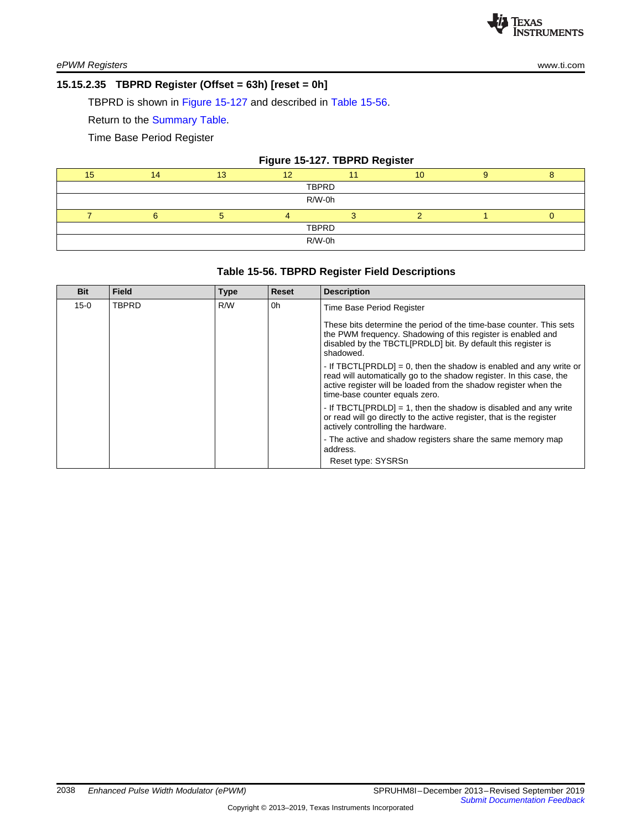### <span id="page-29-0"></span>**15.15.2.35 TBPRD Register (Offset = 63h) [reset = 0h]**

TBPRD is shown in Figure [15-127](#page-29-1) and described in Table [15-56](#page-29-2).

Return to the [Summary](#page-19-0) Table.

Time Base Period Register

## **Figure 15-127. TBPRD Register**

<span id="page-29-1"></span>

| 15     |        | 13 | $\overline{ }$ |  | 10 |  |  |  |  |  |
|--------|--------|----|----------------|--|----|--|--|--|--|--|
| TBPRD  |        |    |                |  |    |  |  |  |  |  |
| R/W-0h |        |    |                |  |    |  |  |  |  |  |
|        |        |    |                |  |    |  |  |  |  |  |
|        | TBPRD  |    |                |  |    |  |  |  |  |  |
|        | R/W-0h |    |                |  |    |  |  |  |  |  |

### **Table 15-56. TBPRD Register Field Descriptions**

<span id="page-29-2"></span>

| <b>Bit</b> | <b>Field</b> | <b>Type</b> | <b>Reset</b> | <b>Description</b>                                                                                                                                                                                                                               |
|------------|--------------|-------------|--------------|--------------------------------------------------------------------------------------------------------------------------------------------------------------------------------------------------------------------------------------------------|
| $15 - 0$   | <b>TBPRD</b> | R/W         | 0h           | Time Base Period Register                                                                                                                                                                                                                        |
|            |              |             |              | These bits determine the period of the time-base counter. This sets<br>the PWM frequency. Shadowing of this register is enabled and<br>disabled by the TBCTL[PRDLD] bit. By default this register is<br>shadowed.                                |
|            |              |             |              | - If TBCTL[PRDLD] = 0, then the shadow is enabled and any write or<br>read will automatically go to the shadow register. In this case, the<br>active register will be loaded from the shadow register when the<br>time-base counter equals zero. |
|            |              |             |              | - If TBCTL[PRDLD] = 1, then the shadow is disabled and any write<br>or read will go directly to the active register, that is the register<br>actively controlling the hardware.                                                                  |
|            |              |             |              | - The active and shadow registers share the same memory map<br>address.                                                                                                                                                                          |
|            |              |             |              | Reset type: SYSRSn                                                                                                                                                                                                                               |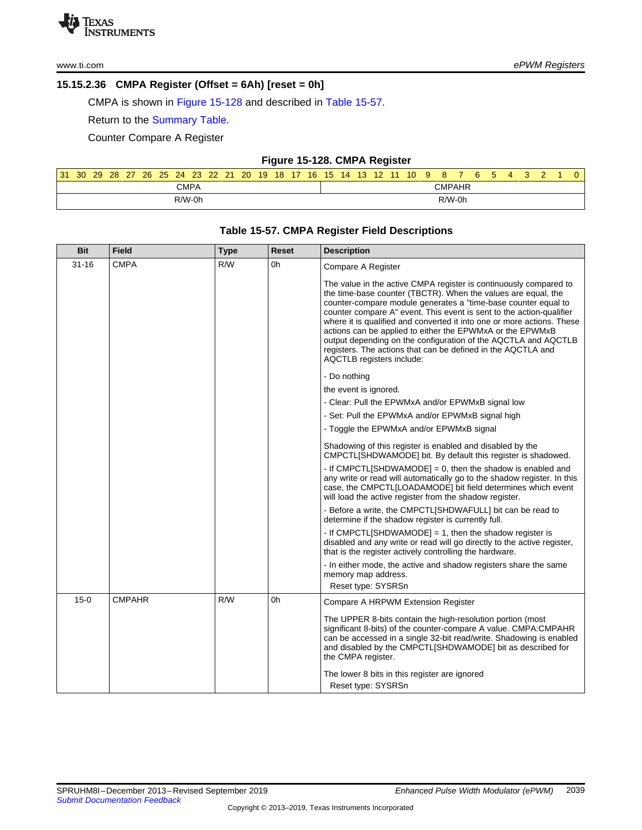### <span id="page-30-0"></span>**15.15.2.36 CMPA Register (Offset = 6Ah) [reset = 0h]**

CMPA is shown in Figure [15-128](#page-30-1) and described in Table [15-57](#page-30-2).

Return to the [Summary](#page-19-0) Table.

Counter Compare A Register

|  |  |  | Figure 15-128. CMPA Register |
|--|--|--|------------------------------|
|--|--|--|------------------------------|

<span id="page-30-1"></span>

| 31 | 30 <sup>°</sup> | 29 | 28 | -27 |  |          |      | 26 25 24 23 22 21 | $20$ 19 |  |  |  |  | 18 17 16 15 14 13 12 11 10 9 | - 8    | 6. | - 5 |  |  | 0 |
|----|-----------------|----|----|-----|--|----------|------|-------------------|---------|--|--|--|--|------------------------------|--------|----|-----|--|--|---|
|    |                 |    |    |     |  |          | CMPA |                   |         |  |  |  |  |                              | CMPAHR |    |     |  |  |   |
|    |                 |    |    |     |  | $R/W-0h$ |      |                   |         |  |  |  |  |                              | R/W-0h |    |     |  |  |   |

<span id="page-30-2"></span>

| <b>Bit</b> | <b>Field</b>  | <b>Type</b> | <b>Reset</b> | <b>Description</b>                                                                                                                                                                                                                                                                                                                                                                                                                                                                                                                                                                 |
|------------|---------------|-------------|--------------|------------------------------------------------------------------------------------------------------------------------------------------------------------------------------------------------------------------------------------------------------------------------------------------------------------------------------------------------------------------------------------------------------------------------------------------------------------------------------------------------------------------------------------------------------------------------------------|
| $31 - 16$  | <b>CMPA</b>   | R/W         | 0h           | Compare A Register                                                                                                                                                                                                                                                                                                                                                                                                                                                                                                                                                                 |
|            |               |             |              | The value in the active CMPA register is continuously compared to<br>the time-base counter (TBCTR). When the values are equal, the<br>counter-compare module generates a "time-base counter equal to<br>counter compare A" event. This event is sent to the action-qualifier<br>where it is qualified and converted it into one or more actions. These<br>actions can be applied to either the EPWMxA or the EPWMxB<br>output depending on the configuration of the AQCTLA and AQCTLB<br>registers. The actions that can be defined in the AQCTLA and<br>AQCTLB registers include: |
|            |               |             |              | - Do nothing                                                                                                                                                                                                                                                                                                                                                                                                                                                                                                                                                                       |
|            |               |             |              | the event is ignored.                                                                                                                                                                                                                                                                                                                                                                                                                                                                                                                                                              |
|            |               |             |              | - Clear: Pull the EPWMxA and/or EPWMxB signal low                                                                                                                                                                                                                                                                                                                                                                                                                                                                                                                                  |
|            |               |             |              | - Set: Pull the EPWMxA and/or EPWMxB signal high                                                                                                                                                                                                                                                                                                                                                                                                                                                                                                                                   |
|            |               |             |              | - Toggle the EPWMxA and/or EPWMxB signal                                                                                                                                                                                                                                                                                                                                                                                                                                                                                                                                           |
|            |               |             |              | Shadowing of this register is enabled and disabled by the<br>CMPCTL[SHDWAMODE] bit. By default this register is shadowed.                                                                                                                                                                                                                                                                                                                                                                                                                                                          |
|            |               |             |              | - If CMPCTL[SHDWAMODE] = 0, then the shadow is enabled and<br>any write or read will automatically go to the shadow register. In this<br>case, the CMPCTL[LOADAMODE] bit field determines which event<br>will load the active register from the shadow register.                                                                                                                                                                                                                                                                                                                   |
|            |               |             |              | - Before a write, the CMPCTLISHDWAFULL] bit can be read to<br>determine if the shadow register is currently full.                                                                                                                                                                                                                                                                                                                                                                                                                                                                  |
|            |               |             |              | - If CMPCTLISHDWAMODE] = 1, then the shadow register is<br>disabled and any write or read will go directly to the active register,<br>that is the register actively controlling the hardware.                                                                                                                                                                                                                                                                                                                                                                                      |
|            |               |             |              | - In either mode, the active and shadow registers share the same<br>memory map address.<br>Reset type: SYSRSn                                                                                                                                                                                                                                                                                                                                                                                                                                                                      |
| $15-0$     | <b>CMPAHR</b> | R/W         | 0h           | Compare A HRPWM Extension Register                                                                                                                                                                                                                                                                                                                                                                                                                                                                                                                                                 |
|            |               |             |              | The UPPER 8-bits contain the high-resolution portion (most<br>significant 8-bits) of the counter-compare A value. CMPA:CMPAHR<br>can be accessed in a single 32-bit read/write. Shadowing is enabled<br>and disabled by the CMPCTL[SHDWAMODE] bit as described for<br>the CMPA register.                                                                                                                                                                                                                                                                                           |
|            |               |             |              | The lower 8 bits in this register are ignored<br>Reset type: SYSRSn                                                                                                                                                                                                                                                                                                                                                                                                                                                                                                                |

## **Table 15-57. CMPA Register Field Descriptions**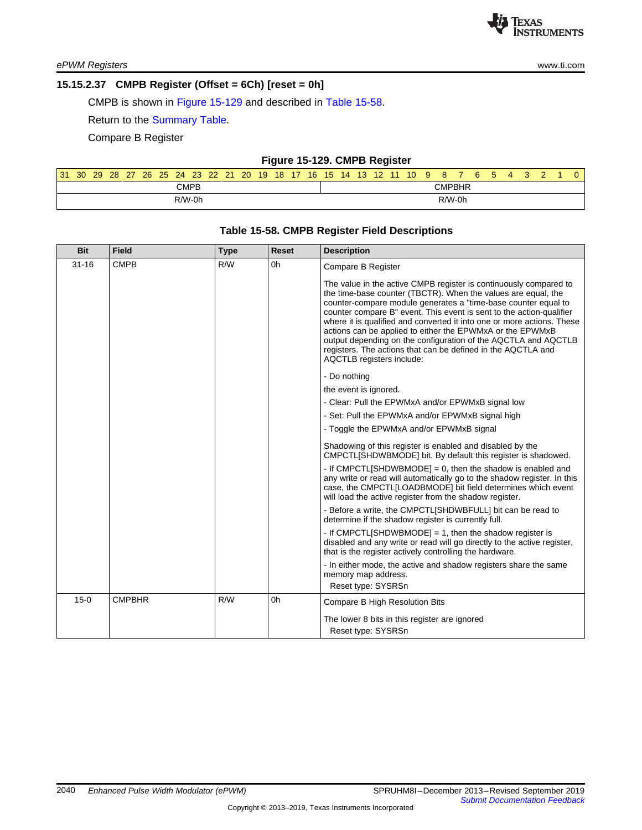### <span id="page-31-0"></span>**15.15.2.37 CMPB Register (Offset = 6Ch) [reset = 0h]**

CMPB is shown in Figure [15-129](#page-31-1) and described in Table [15-58](#page-31-2).

Return to the [Summary](#page-19-0) Table.

Compare B Register

#### **Figure 15-129. CMPB Register**

<span id="page-31-1"></span>

| 31       | 30 | 29 <sup>°</sup> | 28 | 27 | 26 | 25 | 24 | 23 <sup>°</sup> | -22 | 21 | 20 <sup>1</sup> | 19 | 18 <sup>1</sup> | $17$ 16 | -15 | $14 \quad 13$ | $\sqrt{12}$ 11. | 10 <sup>°</sup> | 9 | 8      | 6 | 5 | 4 |  | 0 |
|----------|----|-----------------|----|----|----|----|----|-----------------|-----|----|-----------------|----|-----------------|---------|-----|---------------|-----------------|-----------------|---|--------|---|---|---|--|---|
|          |    |                 |    |    |    |    |    | <b>CMPB</b>     |     |    |                 |    |                 |         |     |               |                 |                 |   | CMPBHR |   |   |   |  |   |
| $R/W-0h$ |    |                 |    |    |    |    |    |                 |     |    |                 |    | R/W-0h          |         |     |               |                 |                 |   |        |   |   |   |  |   |

<span id="page-31-2"></span>

| <b>Bit</b> | <b>Field</b>  | Type | <b>Reset</b> | <b>Description</b>                                                                                                                                                                                                                                                                                                                                                                                                                                                                                                                                                                 |
|------------|---------------|------|--------------|------------------------------------------------------------------------------------------------------------------------------------------------------------------------------------------------------------------------------------------------------------------------------------------------------------------------------------------------------------------------------------------------------------------------------------------------------------------------------------------------------------------------------------------------------------------------------------|
| $31 - 16$  | <b>CMPB</b>   | R/W  | 0h           | Compare B Register                                                                                                                                                                                                                                                                                                                                                                                                                                                                                                                                                                 |
|            |               |      |              | The value in the active CMPB register is continuously compared to<br>the time-base counter (TBCTR). When the values are equal, the<br>counter-compare module generates a "time-base counter equal to<br>counter compare B" event. This event is sent to the action-qualifier<br>where it is qualified and converted it into one or more actions. These<br>actions can be applied to either the EPWMxA or the EPWMxB<br>output depending on the configuration of the AQCTLA and AQCTLB<br>registers. The actions that can be defined in the AQCTLA and<br>AQCTLB registers include: |
|            |               |      |              | - Do nothing                                                                                                                                                                                                                                                                                                                                                                                                                                                                                                                                                                       |
|            |               |      |              | the event is ignored.                                                                                                                                                                                                                                                                                                                                                                                                                                                                                                                                                              |
|            |               |      |              | - Clear: Pull the EPWMxA and/or EPWMxB signal low                                                                                                                                                                                                                                                                                                                                                                                                                                                                                                                                  |
|            |               |      |              | - Set: Pull the EPWMxA and/or EPWMxB signal high                                                                                                                                                                                                                                                                                                                                                                                                                                                                                                                                   |
|            |               |      |              | - Toggle the EPWMxA and/or EPWMxB signal                                                                                                                                                                                                                                                                                                                                                                                                                                                                                                                                           |
|            |               |      |              | Shadowing of this register is enabled and disabled by the<br>CMPCTL[SHDWBMODE] bit. By default this register is shadowed.                                                                                                                                                                                                                                                                                                                                                                                                                                                          |
|            |               |      |              | - If CMPCTLISHDWBMODE] = 0, then the shadow is enabled and<br>any write or read will automatically go to the shadow register. In this<br>case, the CMPCTL[LOADBMODE] bit field determines which event<br>will load the active register from the shadow register.                                                                                                                                                                                                                                                                                                                   |
|            |               |      |              | - Before a write, the CMPCTLISHDWBFULL] bit can be read to<br>determine if the shadow register is currently full.                                                                                                                                                                                                                                                                                                                                                                                                                                                                  |
|            |               |      |              | - If CMPCTLISHDWBMODE] = 1, then the shadow register is<br>disabled and any write or read will go directly to the active register,<br>that is the register actively controlling the hardware.                                                                                                                                                                                                                                                                                                                                                                                      |
|            |               |      |              | - In either mode, the active and shadow registers share the same<br>memory map address.<br>Reset type: SYSRSn                                                                                                                                                                                                                                                                                                                                                                                                                                                                      |
| $15 - 0$   | <b>CMPBHR</b> | R/W  | 0h           | Compare B High Resolution Bits                                                                                                                                                                                                                                                                                                                                                                                                                                                                                                                                                     |
|            |               |      |              | The lower 8 bits in this register are ignored<br>Reset type: SYSRSn                                                                                                                                                                                                                                                                                                                                                                                                                                                                                                                |

## **Table 15-58. CMPB Register Field Descriptions**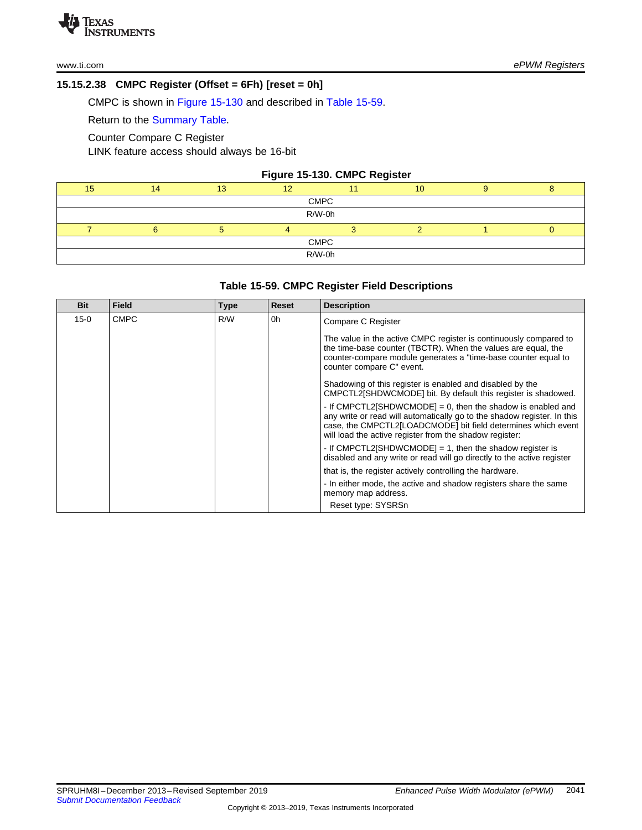## <span id="page-32-0"></span>**15.15.2.38 CMPC Register (Offset = 6Fh) [reset = 0h]**

CMPC is shown in Figure [15-130](#page-32-1) and described in Table [15-59](#page-32-2).

Return to the [Summary](#page-19-0) Table.

Counter Compare C Register

LINK feature access should always be 16-bit

#### **Figure 15-130. CMPC Register**

<span id="page-32-1"></span>

|  |             | 10 |  |
|--|-------------|----|--|
|  | <b>CMPC</b> |    |  |
|  | R/W-0h      |    |  |
|  |             |    |  |
|  | <b>CMPC</b> |    |  |
|  | R/W-0h      |    |  |
|  |             |    |  |

## **Table 15-59. CMPC Register Field Descriptions**

<span id="page-32-2"></span>

| <b>Bit</b> | <b>Field</b> | <b>Type</b> | Reset | <b>Description</b>                                                                                                                                                                                                                                                 |
|------------|--------------|-------------|-------|--------------------------------------------------------------------------------------------------------------------------------------------------------------------------------------------------------------------------------------------------------------------|
| $15-0$     | <b>CMPC</b>  | R/W         | 0h    | Compare C Register                                                                                                                                                                                                                                                 |
|            |              |             |       | The value in the active CMPC register is continuously compared to<br>the time-base counter (TBCTR). When the values are equal, the<br>counter-compare module generates a "time-base counter equal to<br>counter compare C" event.                                  |
|            |              |             |       | Shadowing of this register is enabled and disabled by the<br>CMPCTL2[SHDWCMODE] bit. By default this register is shadowed.                                                                                                                                         |
|            |              |             |       | - If CMPCTL2[SHDWCMODE] = 0, then the shadow is enabled and<br>any write or read will automatically go to the shadow register. In this<br>case, the CMPCTL2[LOADCMODE] bit field determines which event<br>will load the active register from the shadow register: |
|            |              |             |       | - If CMPCTL2[SHDWCMODE] = 1, then the shadow register is<br>disabled and any write or read will go directly to the active register                                                                                                                                 |
|            |              |             |       | that is, the register actively controlling the hardware.                                                                                                                                                                                                           |
|            |              |             |       | - In either mode, the active and shadow registers share the same<br>memory map address.<br>Reset type: SYSRSn                                                                                                                                                      |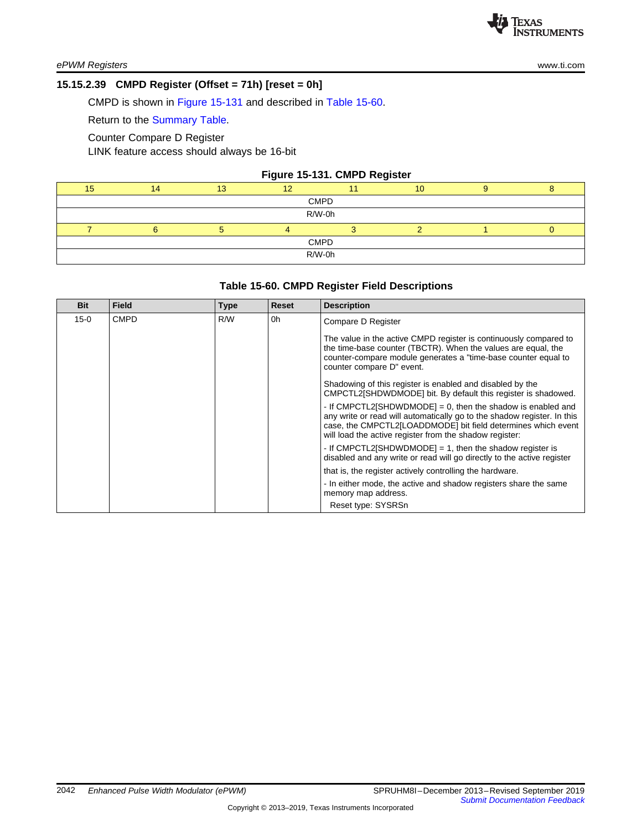### <span id="page-33-0"></span>**15.15.2.39 CMPD Register (Offset = 71h) [reset = 0h]**

CMPD is shown in Figure [15-131](#page-33-1) and described in Table [15-60](#page-33-2).

Return to the [Summary](#page-19-0) Table.

Counter Compare D Register

LINK feature access should always be 16-bit

#### **Figure 15-131. CMPD Register**

<span id="page-33-1"></span>

| 15 <sub>1</sub> | 14 | 13 | $\sqrt{2}$  | 10 |  |
|-----------------|----|----|-------------|----|--|
|                 |    |    | <b>CMPD</b> |    |  |
|                 |    |    | R/W-0h      |    |  |
|                 |    |    |             |    |  |
|                 |    |    | <b>CMPD</b> |    |  |
|                 |    |    | R/W-0h      |    |  |
|                 |    |    |             |    |  |

#### **Table 15-60. CMPD Register Field Descriptions**

<span id="page-33-2"></span>

| <b>Bit</b> | <b>Field</b> | <b>Type</b> | Reset | <b>Description</b>                                                                                                                                                                                                                                                 |
|------------|--------------|-------------|-------|--------------------------------------------------------------------------------------------------------------------------------------------------------------------------------------------------------------------------------------------------------------------|
| $15 - 0$   | <b>CMPD</b>  | R/W         | 0h    | Compare D Register                                                                                                                                                                                                                                                 |
|            |              |             |       | The value in the active CMPD register is continuously compared to<br>the time-base counter (TBCTR). When the values are equal, the<br>counter-compare module generates a "time-base counter equal to<br>counter compare D" event.                                  |
|            |              |             |       | Shadowing of this register is enabled and disabled by the<br>CMPCTL2[SHDWDMODE] bit. By default this register is shadowed.                                                                                                                                         |
|            |              |             |       | - If CMPCTL2[SHDWDMODE] = 0, then the shadow is enabled and<br>any write or read will automatically go to the shadow register. In this<br>case, the CMPCTL2[LOADDMODE] bit field determines which event<br>will load the active register from the shadow register: |
|            |              |             |       | - If CMPCTL2[SHDWDMODE] = 1, then the shadow register is<br>disabled and any write or read will go directly to the active register                                                                                                                                 |
|            |              |             |       | that is, the register actively controlling the hardware.                                                                                                                                                                                                           |
|            |              |             |       | - In either mode, the active and shadow registers share the same<br>memory map address.<br>Reset type: SYSRSn                                                                                                                                                      |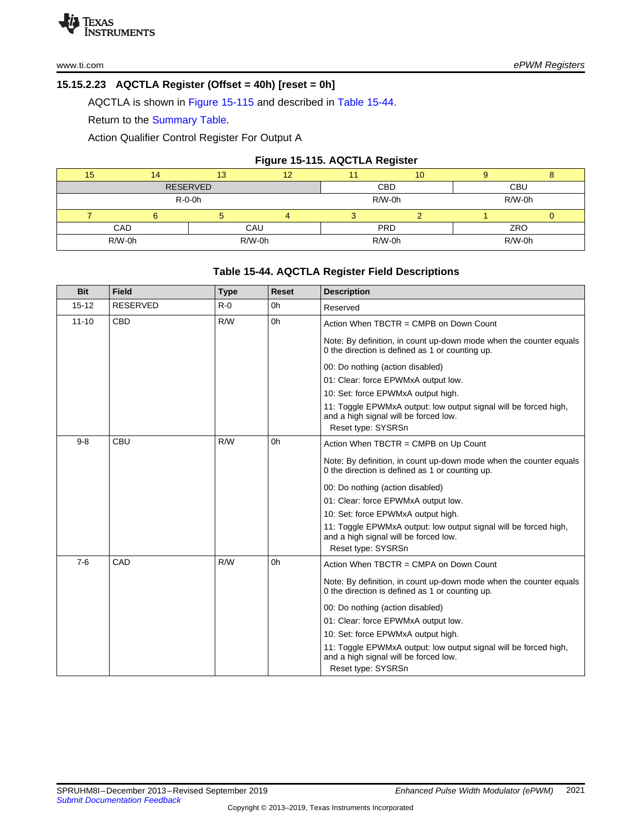## **15.15.2.23 AQCTLA Register (Offset = 40h) [reset = 0h]**

AQCTLA is shown in Figure [15-115](#page-34-0) and described in Table [15-44.](#page-34-1)

Return to the Summary Table.

Action Qualifier Control Register For Output A

### **Figure 15-115. AQCTLA Register**

<span id="page-34-0"></span>

| 15         | 4               | 13 | 12       |            | 10 |            |  |  |
|------------|-----------------|----|----------|------------|----|------------|--|--|
|            | <b>RESERVED</b> |    |          | <b>CBD</b> |    | <b>CBU</b> |  |  |
|            | $R-O-Oh$        |    |          | $R/W-0h$   |    | R/W-0h     |  |  |
|            |                 |    |          |            |    |            |  |  |
| CAD<br>CAU |                 |    |          | <b>PRD</b> |    | ZRO        |  |  |
|            | R/W-0h          |    | $R/W-0h$ | $R/W-0h$   |    | R/W-0h     |  |  |

## **Table 15-44. AQCTLA Register Field Descriptions**

<span id="page-34-1"></span>

| <b>Bit</b> | <b>Field</b>    | <b>Type</b> | Reset | <b>Description</b>                                                                                                              |
|------------|-----------------|-------------|-------|---------------------------------------------------------------------------------------------------------------------------------|
| $15 - 12$  | <b>RESERVED</b> | $R - 0$     | 0h    | Reserved                                                                                                                        |
| $11 - 10$  | <b>CBD</b>      | R/W         | 0h    | Action When TBCTR = CMPB on Down Count                                                                                          |
|            |                 |             |       | Note: By definition, in count up-down mode when the counter equals<br>0 the direction is defined as 1 or counting up.           |
|            |                 |             |       | 00: Do nothing (action disabled)                                                                                                |
|            |                 |             |       | 01: Clear: force EPWMxA output low.                                                                                             |
|            |                 |             |       | 10: Set: force EPWMxA output high.                                                                                              |
|            |                 |             |       | 11: Toggle EPWMxA output: low output signal will be forced high,<br>and a high signal will be forced low.<br>Reset type: SYSRSn |
| $9 - 8$    | CBU             | R/W         | 0h    | Action When TBCTR = CMPB on Up Count                                                                                            |
|            |                 |             |       | Note: By definition, in count up-down mode when the counter equals<br>0 the direction is defined as 1 or counting up.           |
|            |                 |             |       | 00: Do nothing (action disabled)                                                                                                |
|            |                 |             |       | 01: Clear: force EPWMxA output low.                                                                                             |
|            |                 |             |       | 10: Set: force EPWMxA output high.                                                                                              |
|            |                 |             |       | 11: Toggle EPWMxA output: low output signal will be forced high,<br>and a high signal will be forced low.<br>Reset type: SYSRSn |
| $7-6$      | CAD             | R/W         | 0h    | Action When TBCTR = CMPA on Down Count                                                                                          |
|            |                 |             |       | Note: By definition, in count up-down mode when the counter equals<br>0 the direction is defined as 1 or counting up.           |
|            |                 |             |       | 00: Do nothing (action disabled)                                                                                                |
|            |                 |             |       | 01: Clear: force EPWMxA output low.                                                                                             |
|            |                 |             |       | 10: Set: force EPWMxA output high.                                                                                              |
|            |                 |             |       | 11: Toggle EPWMxA output: low output signal will be forced high,<br>and a high signal will be forced low.                       |
|            |                 |             |       | Reset type: SYSRSn                                                                                                              |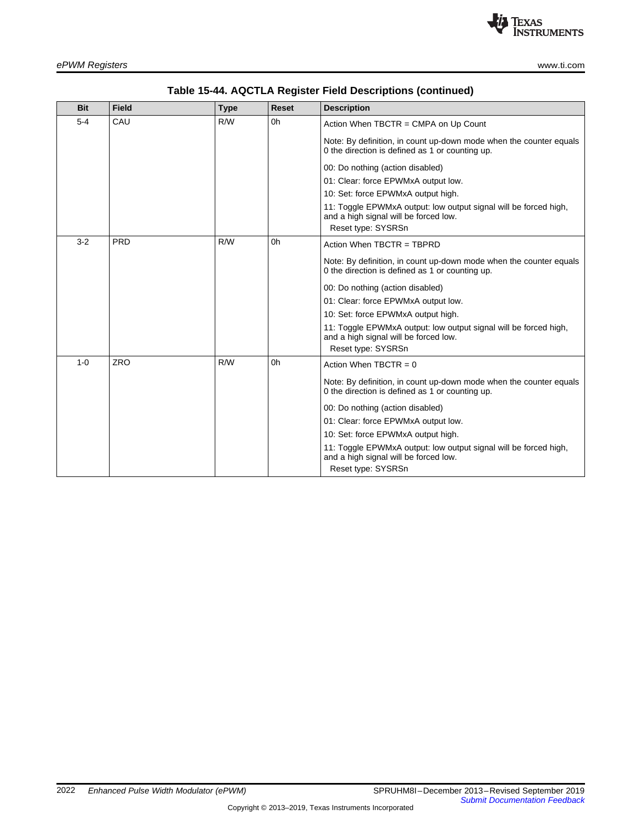

| <b>Bit</b> | <b>Field</b> | <b>Type</b> | <b>Reset</b>   | <b>Description</b>                                                                                                    |
|------------|--------------|-------------|----------------|-----------------------------------------------------------------------------------------------------------------------|
| $5 - 4$    | CAU          | R/W         | 0h             | Action When TBCTR = CMPA on Up Count                                                                                  |
|            |              |             |                | Note: By definition, in count up-down mode when the counter equals<br>0 the direction is defined as 1 or counting up. |
|            |              |             |                | 00: Do nothing (action disabled)                                                                                      |
|            |              |             |                | 01: Clear: force EPWMxA output low.                                                                                   |
|            |              |             |                | 10: Set: force EPWMxA output high.                                                                                    |
|            |              |             |                | 11: Toggle EPWMxA output: low output signal will be forced high,<br>and a high signal will be forced low.             |
|            |              |             |                | Reset type: SYSRSn                                                                                                    |
| $3-2$      | <b>PRD</b>   | R/W         | 0 <sub>h</sub> | Action When TBCTR = TBPRD                                                                                             |
|            |              |             |                | Note: By definition, in count up-down mode when the counter equals<br>0 the direction is defined as 1 or counting up. |
|            |              |             |                | 00: Do nothing (action disabled)                                                                                      |
|            |              |             |                | 01: Clear: force EPWMxA output low.                                                                                   |
|            |              |             |                | 10: Set: force EPWMxA output high.                                                                                    |
|            |              |             |                | 11: Toggle EPWMxA output: low output signal will be forced high,<br>and a high signal will be forced low.             |
|            |              |             |                | Reset type: SYSRSn                                                                                                    |
| $1 - 0$    | <b>ZRO</b>   | R/W         | 0h             | Action When $TBCTR = 0$                                                                                               |
|            |              |             |                | Note: By definition, in count up-down mode when the counter equals<br>0 the direction is defined as 1 or counting up. |
|            |              |             |                | 00: Do nothing (action disabled)                                                                                      |
|            |              |             |                | 01: Clear: force EPWMxA output low.                                                                                   |
|            |              |             |                | 10: Set: force EPWMxA output high.                                                                                    |
|            |              |             |                | 11: Toggle EPWMxA output: low output signal will be forced high,<br>and a high signal will be forced low.             |
|            |              |             |                | Reset type: SYSRSn                                                                                                    |

## **Table 15-44. AQCTLA Register Field Descriptions (continued)**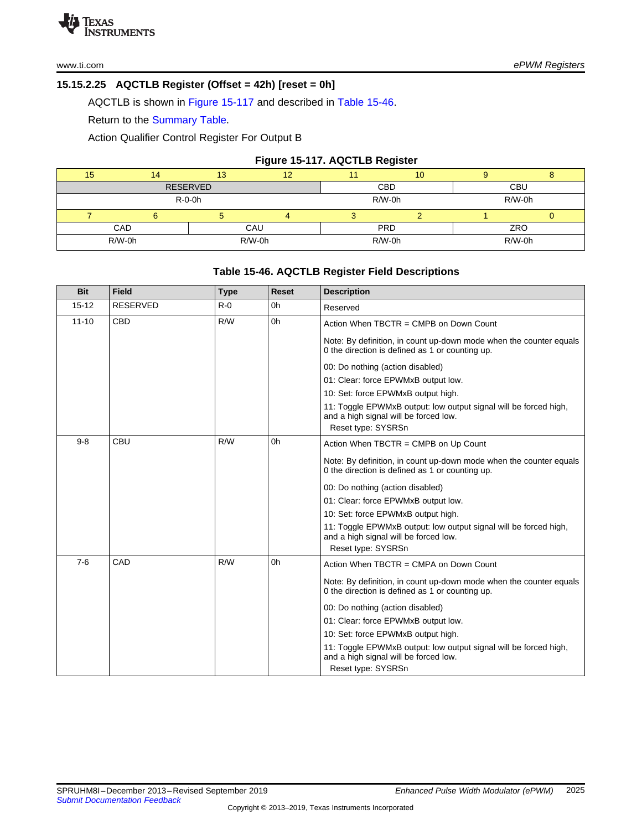## **15.15.2.25 AQCTLB Register (Offset = 42h) [reset = 0h]**

AQCTLB is shown in Figure [15-117](#page-36-0) and described in Table [15-46.](#page-36-1)

Return to the Summary Table.

Action Qualifier Control Register For Output B

### **Figure 15-117. AQCTLB Register**

<span id="page-36-0"></span>

| 15     | 14              | 13       | 12     |            | 10 |            |  |  |
|--------|-----------------|----------|--------|------------|----|------------|--|--|
|        | <b>RESERVED</b> |          |        | <b>CBD</b> |    | <b>CBU</b> |  |  |
|        |                 | $R-O-Oh$ |        | R/W-0h     |    | R/W-0h     |  |  |
|        |                 |          |        |            |    |            |  |  |
| CAD    |                 |          | CAU    | <b>PRD</b> |    | ZRO        |  |  |
| R/W-0h |                 |          | R/W-0h | R/W-0h     |    | $R/W-0h$   |  |  |

## **Table 15-46. AQCTLB Register Field Descriptions**

<span id="page-36-1"></span>

| <b>Bit</b> | <b>Field</b>    | <b>Type</b> | Reset | <b>Description</b>                                                                                                              |
|------------|-----------------|-------------|-------|---------------------------------------------------------------------------------------------------------------------------------|
| $15 - 12$  | <b>RESERVED</b> | $R - 0$     | 0h    | Reserved                                                                                                                        |
| $11 - 10$  | <b>CBD</b>      | R/W         | 0h    | Action When TBCTR = CMPB on Down Count                                                                                          |
|            |                 |             |       | Note: By definition, in count up-down mode when the counter equals<br>0 the direction is defined as 1 or counting up.           |
|            |                 |             |       | 00: Do nothing (action disabled)                                                                                                |
|            |                 |             |       | 01: Clear: force EPWMxB output low.                                                                                             |
|            |                 |             |       | 10: Set: force EPWMxB output high.                                                                                              |
|            |                 |             |       | 11: Toggle EPWMxB output: low output signal will be forced high,<br>and a high signal will be forced low.<br>Reset type: SYSRSn |
| $9 - 8$    | CBU             | R/W         | 0h    | Action When TBCTR = CMPB on Up Count                                                                                            |
|            |                 |             |       | Note: By definition, in count up-down mode when the counter equals<br>0 the direction is defined as 1 or counting up.           |
|            |                 |             |       | 00: Do nothing (action disabled)                                                                                                |
|            |                 |             |       | 01: Clear: force EPWMxB output low.                                                                                             |
|            |                 |             |       | 10: Set: force EPWMxB output high.                                                                                              |
|            |                 |             |       | 11: Toggle EPWMxB output: low output signal will be forced high,<br>and a high signal will be forced low.<br>Reset type: SYSRSn |
| $7-6$      | CAD             | R/W         | 0h    | Action When TBCTR = CMPA on Down Count                                                                                          |
|            |                 |             |       | Note: By definition, in count up-down mode when the counter equals<br>0 the direction is defined as 1 or counting up.           |
|            |                 |             |       | 00: Do nothing (action disabled)                                                                                                |
|            |                 |             |       | 01: Clear: force EPWMxB output low.                                                                                             |
|            |                 |             |       | 10: Set: force EPWMxB output high.                                                                                              |
|            |                 |             |       | 11: Toggle EPWMxB output: low output signal will be forced high,<br>and a high signal will be forced low.                       |
|            |                 |             |       | Reset type: SYSRSn                                                                                                              |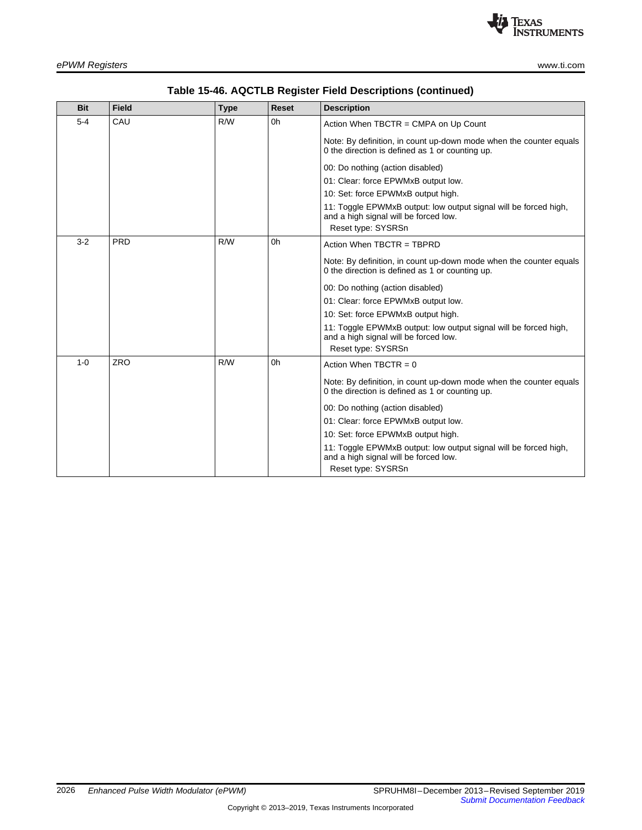

| <b>Bit</b> | <b>Field</b> | <b>Type</b> | <b>Reset</b>   | <b>Description</b>                                                                                                    |
|------------|--------------|-------------|----------------|-----------------------------------------------------------------------------------------------------------------------|
| $5 - 4$    | CAU          | R/W         | 0 <sub>h</sub> | Action When TBCTR = CMPA on Up Count                                                                                  |
|            |              |             |                | Note: By definition, in count up-down mode when the counter equals<br>0 the direction is defined as 1 or counting up. |
|            |              |             |                | 00: Do nothing (action disabled)                                                                                      |
|            |              |             |                | 01: Clear: force EPWMxB output low.                                                                                   |
|            |              |             |                | 10: Set: force EPWMxB output high.                                                                                    |
|            |              |             |                | 11: Toggle EPWMxB output: low output signal will be forced high,<br>and a high signal will be forced low.             |
|            |              |             |                | Reset type: SYSRSn                                                                                                    |
| $3 - 2$    | PRD          | R/W         | 0h             | Action When TBCTR = TBPRD                                                                                             |
|            |              |             |                | Note: By definition, in count up-down mode when the counter equals<br>0 the direction is defined as 1 or counting up. |
|            |              |             |                | 00: Do nothing (action disabled)                                                                                      |
|            |              |             |                | 01: Clear: force EPWMxB output low.                                                                                   |
|            |              |             |                | 10: Set: force EPWMxB output high.                                                                                    |
|            |              |             |                | 11: Toggle EPWMxB output: low output signal will be forced high,<br>and a high signal will be forced low.             |
|            |              |             |                | Reset type: SYSRSn                                                                                                    |
| $1 - 0$    | <b>ZRO</b>   | R/W         | 0h             | Action When TBCTR = $0$                                                                                               |
|            |              |             |                | Note: By definition, in count up-down mode when the counter equals<br>0 the direction is defined as 1 or counting up. |
|            |              |             |                | 00: Do nothing (action disabled)                                                                                      |
|            |              |             |                | 01: Clear: force EPWMxB output low.                                                                                   |
|            |              |             |                | 10: Set: force EPWMxB output high.                                                                                    |
|            |              |             |                | 11: Toggle EPWMxB output: low output signal will be forced high,<br>and a high signal will be forced low.             |
|            |              |             |                | Reset type: SYSRSn                                                                                                    |

## **Table 15-46. AQCTLB Register Field Descriptions (continued)**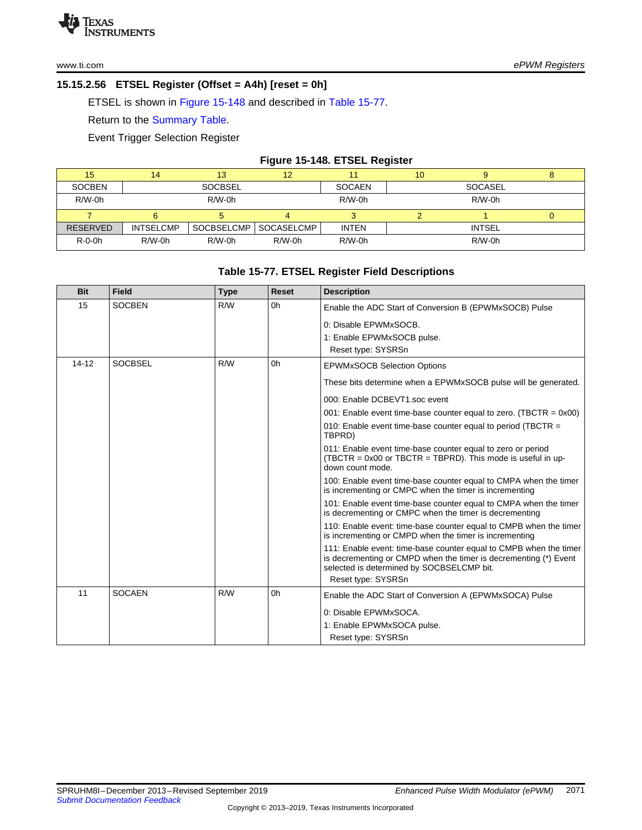## **15.15.2.56 ETSEL Register (Offset = A4h) [reset = 0h]**

ETSEL is shown in Figure [15-148](#page-38-0) and described in Table [15-77](#page-38-1).

Return to the [Summary](#page--1-7) Table.

Event Trigger Selection Register

#### **Figure 15-148. ETSEL Register**

<span id="page-38-0"></span>

| 15              | 14               | 13             | 12         |               | 10 |               | o |
|-----------------|------------------|----------------|------------|---------------|----|---------------|---|
| <b>SOCBEN</b>   |                  | <b>SOCBSEL</b> |            | <b>SOCAEN</b> |    | SOCASEL       |   |
| $R/W-0h$        |                  | $R/W-0h$       |            | $R/W-0h$      |    | $R/W-0h$      |   |
|                 |                  |                |            |               |    |               |   |
| <b>RESERVED</b> | <b>INTSELCMP</b> | SOCBSELCMP     | SOCASELCMP | <b>INTEN</b>  |    | <b>INTSEL</b> |   |
| $R-O-Oh$        | $R/W-0h$         | $R/W-0h$       | $R/W-0h$   | $R/W-0h$      |    | $R/W-0h$      |   |

## **Table 15-77. ETSEL Register Field Descriptions**

<span id="page-38-1"></span>

| <b>Bit</b> | <b>Field</b>   | <b>Type</b> | <b>Reset</b> | <b>Description</b>                                                                                                                                                                 |
|------------|----------------|-------------|--------------|------------------------------------------------------------------------------------------------------------------------------------------------------------------------------------|
| 15         | <b>SOCBEN</b>  | R/W         | 0h           | Enable the ADC Start of Conversion B (EPWMxSOCB) Pulse                                                                                                                             |
|            |                |             |              | 0: Disable EPWMxSOCB.                                                                                                                                                              |
|            |                |             |              | 1: Enable EPWMxSOCB pulse.                                                                                                                                                         |
|            |                |             |              | Reset type: SYSRSn                                                                                                                                                                 |
| $14 - 12$  | <b>SOCBSEL</b> | R/W         | 0h           | <b>EPWMxSOCB Selection Options</b>                                                                                                                                                 |
|            |                |             |              | These bits determine when a EPWMxSOCB pulse will be generated.                                                                                                                     |
|            |                |             |              | 000: Enable DCBEVT1.soc event                                                                                                                                                      |
|            |                |             |              | 001: Enable event time-base counter equal to zero. (TBCTR = $0x00$ )                                                                                                               |
|            |                |             |              | 010: Enable event time-base counter equal to period (TBCTR $=$<br>TBPRD)                                                                                                           |
|            |                |             |              | 011: Enable event time-base counter equal to zero or period<br>(TBCTR = $0x00$ or TBCTR = TBPRD). This mode is useful in up-<br>down count mode.                                   |
|            |                |             |              | 100: Enable event time-base counter equal to CMPA when the timer<br>is incrementing or CMPC when the timer is incrementing                                                         |
|            |                |             |              | 101: Enable event time-base counter equal to CMPA when the timer<br>is decrementing or CMPC when the timer is decrementing                                                         |
|            |                |             |              | 110: Enable event: time-base counter equal to CMPB when the timer<br>is incrementing or CMPD when the timer is incrementing                                                        |
|            |                |             |              | 111: Enable event: time-base counter equal to CMPB when the timer<br>is decrementing or CMPD when the timer is decrementing (*) Event<br>selected is determined by SOCBSELCMP bit. |
|            |                |             |              | Reset type: SYSRSn                                                                                                                                                                 |
| 11         | <b>SOCAEN</b>  | R/W         | 0h           | Enable the ADC Start of Conversion A (EPWMxSOCA) Pulse                                                                                                                             |
|            |                |             |              | 0: Disable EPWMxSOCA.                                                                                                                                                              |
|            |                |             |              | 1: Enable EPWMxSOCA pulse.                                                                                                                                                         |
|            |                |             |              | Reset type: SYSRSn                                                                                                                                                                 |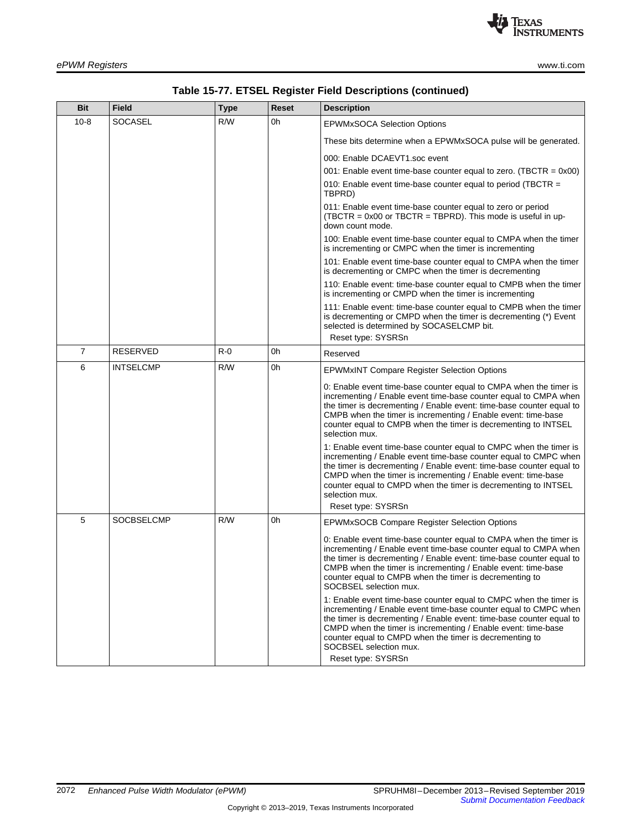

| Bit            | Field             | Type  | Reset | <b>Description</b>                                                                                                                                                                                                                                                                                                                                                                        |
|----------------|-------------------|-------|-------|-------------------------------------------------------------------------------------------------------------------------------------------------------------------------------------------------------------------------------------------------------------------------------------------------------------------------------------------------------------------------------------------|
| $10 - 8$       | <b>SOCASEL</b>    | R/W   | 0h    | <b>EPWMxSOCA Selection Options</b>                                                                                                                                                                                                                                                                                                                                                        |
|                |                   |       |       | These bits determine when a EPWMxSOCA pulse will be generated.                                                                                                                                                                                                                                                                                                                            |
|                |                   |       |       | 000: Enable DCAEVT1.soc event                                                                                                                                                                                                                                                                                                                                                             |
|                |                   |       |       | 001: Enable event time-base counter equal to zero. (TBCTR = $0x00$ )                                                                                                                                                                                                                                                                                                                      |
|                |                   |       |       | 010: Enable event time-base counter equal to period (TBCTR =<br>TBPRD)                                                                                                                                                                                                                                                                                                                    |
|                |                   |       |       | 011: Enable event time-base counter equal to zero or period<br>$(TBCTR = 0x00 \text{ or } TBCTR = TBPRD)$ . This mode is useful in up-<br>down count mode.                                                                                                                                                                                                                                |
|                |                   |       |       | 100: Enable event time-base counter equal to CMPA when the timer<br>is incrementing or CMPC when the timer is incrementing                                                                                                                                                                                                                                                                |
|                |                   |       |       | 101: Enable event time-base counter equal to CMPA when the timer<br>is decrementing or CMPC when the timer is decrementing                                                                                                                                                                                                                                                                |
|                |                   |       |       | 110: Enable event: time-base counter equal to CMPB when the timer<br>is incrementing or CMPD when the timer is incrementing                                                                                                                                                                                                                                                               |
|                |                   |       |       | 111: Enable event: time-base counter equal to CMPB when the timer<br>is decrementing or CMPD when the timer is decrementing (*) Event<br>selected is determined by SOCASELCMP bit.                                                                                                                                                                                                        |
|                |                   |       |       | Reset type: SYSRSn                                                                                                                                                                                                                                                                                                                                                                        |
| $\overline{7}$ | RESERVED          | $R-0$ | 0h    | Reserved                                                                                                                                                                                                                                                                                                                                                                                  |
| 6              | <b>INTSELCMP</b>  | R/W   | 0h    | <b>EPWMxINT Compare Register Selection Options</b>                                                                                                                                                                                                                                                                                                                                        |
|                |                   |       |       | 0: Enable event time-base counter equal to CMPA when the timer is<br>incrementing / Enable event time-base counter equal to CMPA when<br>the timer is decrementing / Enable event: time-base counter equal to<br>CMPB when the timer is incrementing / Enable event: time-base<br>counter equal to CMPB when the timer is decrementing to INTSEL<br>selection mux.                        |
|                |                   |       |       | 1: Enable event time-base counter equal to CMPC when the timer is<br>incrementing / Enable event time-base counter equal to CMPC when<br>the timer is decrementing / Enable event: time-base counter equal to<br>CMPD when the timer is incrementing / Enable event: time-base<br>counter equal to CMPD when the timer is decrementing to INTSEL<br>selection mux.<br>Reset type: SYSRSn  |
| 5              | <b>SOCBSELCMP</b> | R/W   | 0h    | EPWMxSOCB Compare Register Selection Options                                                                                                                                                                                                                                                                                                                                              |
|                |                   |       |       | 0: Enable event time-base counter equal to CMPA when the timer is<br>incrementing / Enable event time-base counter equal to CMPA when<br>the timer is decrementing / Enable event: time-base counter equal to<br>CMPB when the timer is incrementing / Enable event: time-base<br>counter equal to CMPB when the timer is decrementing to<br>SOCBSEL selection mux.                       |
|                |                   |       |       | 1: Enable event time-base counter equal to CMPC when the timer is<br>incrementing / Enable event time-base counter equal to CMPC when<br>the timer is decrementing / Enable event: time-base counter equal to<br>CMPD when the timer is incrementing / Enable event: time-base<br>counter equal to CMPD when the timer is decrementing to<br>SOCBSEL selection mux.<br>Reset type: SYSRSn |

| Table 15-77. ETSEL Register Field Descriptions (continued) |  |  |  |
|------------------------------------------------------------|--|--|--|
|------------------------------------------------------------|--|--|--|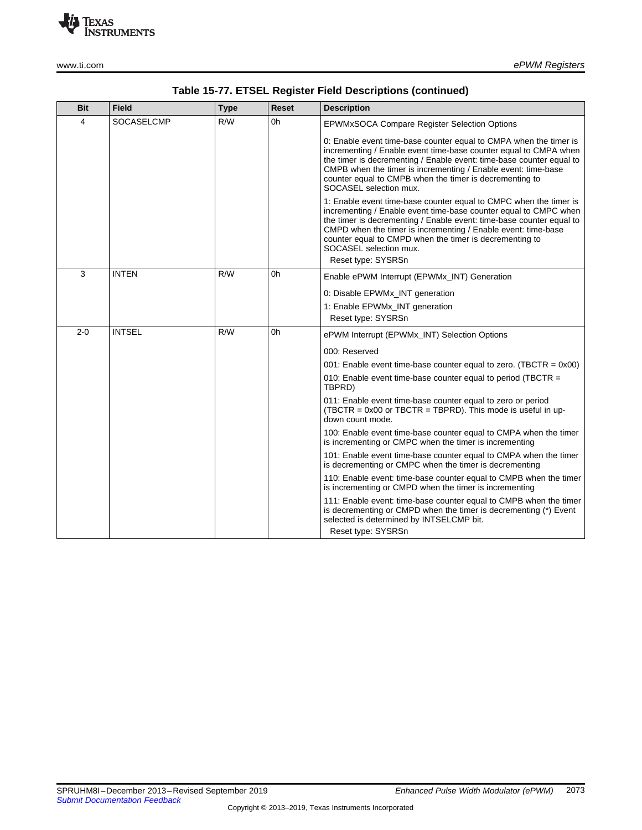

| <b>Bit</b> | <b>Field</b>      | <b>Type</b> | <b>Reset</b> | <b>Description</b>                                                                                                                                                                                                                                                                                                                                                                        |
|------------|-------------------|-------------|--------------|-------------------------------------------------------------------------------------------------------------------------------------------------------------------------------------------------------------------------------------------------------------------------------------------------------------------------------------------------------------------------------------------|
| 4          | <b>SOCASELCMP</b> | R/W         | 0h           | <b>EPWMxSOCA Compare Register Selection Options</b>                                                                                                                                                                                                                                                                                                                                       |
|            |                   |             |              | 0: Enable event time-base counter equal to CMPA when the timer is<br>incrementing / Enable event time-base counter equal to CMPA when<br>the timer is decrementing / Enable event: time-base counter equal to<br>CMPB when the timer is incrementing / Enable event: time-base<br>counter equal to CMPB when the timer is decrementing to<br>SOCASEL selection mux.                       |
|            |                   |             |              | 1: Enable event time-base counter equal to CMPC when the timer is<br>incrementing / Enable event time-base counter equal to CMPC when<br>the timer is decrementing / Enable event: time-base counter equal to<br>CMPD when the timer is incrementing / Enable event: time-base<br>counter equal to CMPD when the timer is decrementing to<br>SOCASEL selection mux.<br>Reset type: SYSRSn |
| 3          | <b>INTEN</b>      | R/W         | 0h           | Enable ePWM Interrupt (EPWMx INT) Generation                                                                                                                                                                                                                                                                                                                                              |
|            |                   |             |              | 0: Disable EPWMx_INT generation                                                                                                                                                                                                                                                                                                                                                           |
|            |                   |             |              | 1: Enable EPWMx_INT generation                                                                                                                                                                                                                                                                                                                                                            |
|            |                   |             |              | Reset type: SYSRSn                                                                                                                                                                                                                                                                                                                                                                        |
| $2 - 0$    | <b>INTSEL</b>     | R/W         | 0h           | ePWM Interrupt (EPWMx INT) Selection Options                                                                                                                                                                                                                                                                                                                                              |
|            |                   |             |              | 000: Reserved                                                                                                                                                                                                                                                                                                                                                                             |
|            |                   |             |              | 001: Enable event time-base counter equal to zero. (TBCTR = $0x00$ )                                                                                                                                                                                                                                                                                                                      |
|            |                   |             |              | 010: Enable event time-base counter equal to period (TBCTR $=$<br>TBPRD)                                                                                                                                                                                                                                                                                                                  |
|            |                   |             |              | 011: Enable event time-base counter equal to zero or period<br>(TBCTR = 0x00 or TBCTR = TBPRD). This mode is useful in up-<br>down count mode.                                                                                                                                                                                                                                            |
|            |                   |             |              | 100: Enable event time-base counter equal to CMPA when the timer<br>is incrementing or CMPC when the timer is incrementing                                                                                                                                                                                                                                                                |
|            |                   |             |              | 101: Enable event time-base counter equal to CMPA when the timer<br>is decrementing or CMPC when the timer is decrementing                                                                                                                                                                                                                                                                |
|            |                   |             |              | 110: Enable event: time-base counter equal to CMPB when the timer<br>is incrementing or CMPD when the timer is incrementing                                                                                                                                                                                                                                                               |
|            |                   |             |              | 111: Enable event: time-base counter equal to CMPB when the timer<br>is decrementing or CMPD when the timer is decrementing (*) Event<br>selected is determined by INTSELCMP bit.<br>Reset type: SYSRSn                                                                                                                                                                                   |

## **Table 15-77. ETSEL Register Field Descriptions (continued)**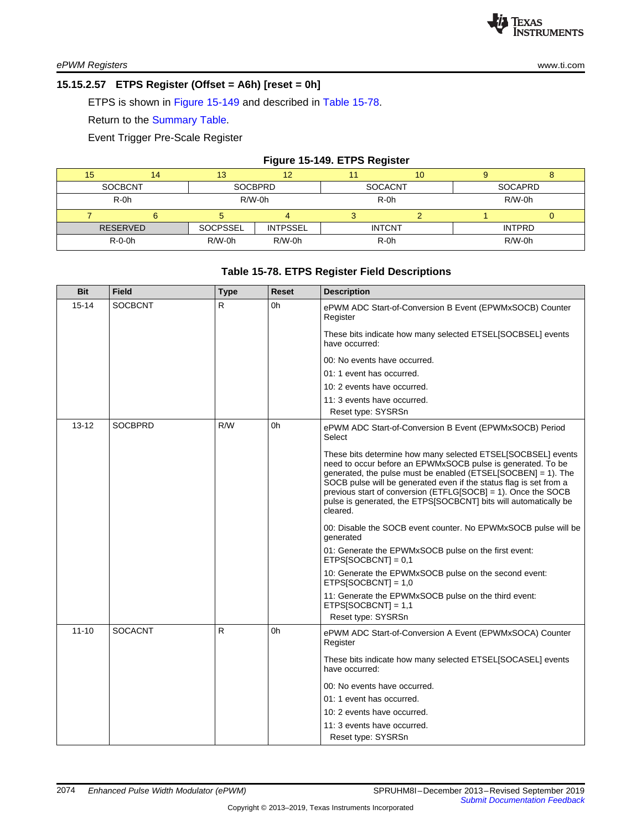### **15.15.2.57 ETPS Register (Offset = A6h) [reset = 0h]**

ETPS is shown in Figure [15-149](#page-41-0) and described in Table [15-78.](#page-41-1)

Return to the [Summary](#page--1-7) Table.

Event Trigger Pre-Scale Register

#### **Figure 15-149. ETPS Register**

<span id="page-41-0"></span>

|    |                 |                |                 | . .            |    |               |   |
|----|-----------------|----------------|-----------------|----------------|----|---------------|---|
| 15 | 14              | 13             |                 |                | 10 |               | u |
|    | <b>SOCBCNT</b>  | <b>SOCBPRD</b> |                 | <b>SOCACNT</b> |    | SOCAPRD       |   |
|    | R-0h            | $R/W-0h$       |                 | $R-0h$         |    | $R/W-0h$      |   |
|    |                 |                |                 |                |    |               |   |
|    | <b>RESERVED</b> | SOCPSSEL       | <b>INTPSSEL</b> | <b>INTCNT</b>  |    | <b>INTPRD</b> |   |
|    | $R-O-Oh$        | $R/W-0h$       | R/W-0h          | $R-0h$         |    | R/W-0h        |   |
|    |                 |                |                 |                |    |               |   |

#### **Table 15-78. ETPS Register Field Descriptions**

<span id="page-41-1"></span>

| <b>Bit</b> | <b>Field</b>   | <b>Type</b> | <b>Reset</b> | <b>Description</b>                                                                                                                                                                                                                                                                                                                                                                                                  |
|------------|----------------|-------------|--------------|---------------------------------------------------------------------------------------------------------------------------------------------------------------------------------------------------------------------------------------------------------------------------------------------------------------------------------------------------------------------------------------------------------------------|
| $15 - 14$  | <b>SOCBCNT</b> | R.          | 0h           | ePWM ADC Start-of-Conversion B Event (EPWMxSOCB) Counter<br>Register                                                                                                                                                                                                                                                                                                                                                |
|            |                |             |              | These bits indicate how many selected ETSEL[SOCBSEL] events<br>have occurred:                                                                                                                                                                                                                                                                                                                                       |
|            |                |             |              | 00: No events have occurred.                                                                                                                                                                                                                                                                                                                                                                                        |
|            |                |             |              | 01: 1 event has occurred.                                                                                                                                                                                                                                                                                                                                                                                           |
|            |                |             |              | 10: 2 events have occurred.                                                                                                                                                                                                                                                                                                                                                                                         |
|            |                |             |              | 11: 3 events have occurred.                                                                                                                                                                                                                                                                                                                                                                                         |
|            |                |             |              | Reset type: SYSRSn                                                                                                                                                                                                                                                                                                                                                                                                  |
| $13 - 12$  | <b>SOCBPRD</b> | R/W         | 0h           | ePWM ADC Start-of-Conversion B Event (EPWMxSOCB) Period<br>Select                                                                                                                                                                                                                                                                                                                                                   |
|            |                |             |              | These bits determine how many selected ETSEL[SOCBSEL] events<br>need to occur before an EPWMxSOCB pulse is generated. To be<br>generated, the pulse must be enabled (ETSEL[SOCBEN] = 1). The<br>SOCB pulse will be generated even if the status flag is set from a<br>previous start of conversion (ETFLG[SOCB] = 1). Once the SOCB<br>pulse is generated, the ETPS[SOCBCNT] bits will automatically be<br>cleared. |
|            |                |             |              | 00: Disable the SOCB event counter. No EPWMxSOCB pulse will be<br>generated                                                                                                                                                                                                                                                                                                                                         |
|            |                |             |              | 01: Generate the EPWMxSOCB pulse on the first event:<br>$ETPSISOCBCNT$ ] = 0.1                                                                                                                                                                                                                                                                                                                                      |
|            |                |             |              | 10: Generate the EPWMxSOCB pulse on the second event:<br>$ETPS[SOCBCNT] = 1,0$                                                                                                                                                                                                                                                                                                                                      |
|            |                |             |              | 11: Generate the EPWMxSOCB pulse on the third event:<br>$ETPS[SOCBCNT] = 1,1$                                                                                                                                                                                                                                                                                                                                       |
|            |                |             |              | Reset type: SYSRSn                                                                                                                                                                                                                                                                                                                                                                                                  |
| $11 - 10$  | <b>SOCACNT</b> | R           | 0h           | ePWM ADC Start-of-Conversion A Event (EPWMxSOCA) Counter<br>Register                                                                                                                                                                                                                                                                                                                                                |
|            |                |             |              | These bits indicate how many selected ETSEL[SOCASEL] events<br>have occurred:                                                                                                                                                                                                                                                                                                                                       |
|            |                |             |              | 00: No events have occurred.                                                                                                                                                                                                                                                                                                                                                                                        |
|            |                |             |              | 01: 1 event has occurred.                                                                                                                                                                                                                                                                                                                                                                                           |
|            |                |             |              | 10: 2 events have occurred.                                                                                                                                                                                                                                                                                                                                                                                         |
|            |                |             |              | 11: 3 events have occurred.                                                                                                                                                                                                                                                                                                                                                                                         |
|            |                |             |              | Reset type: SYSRSn                                                                                                                                                                                                                                                                                                                                                                                                  |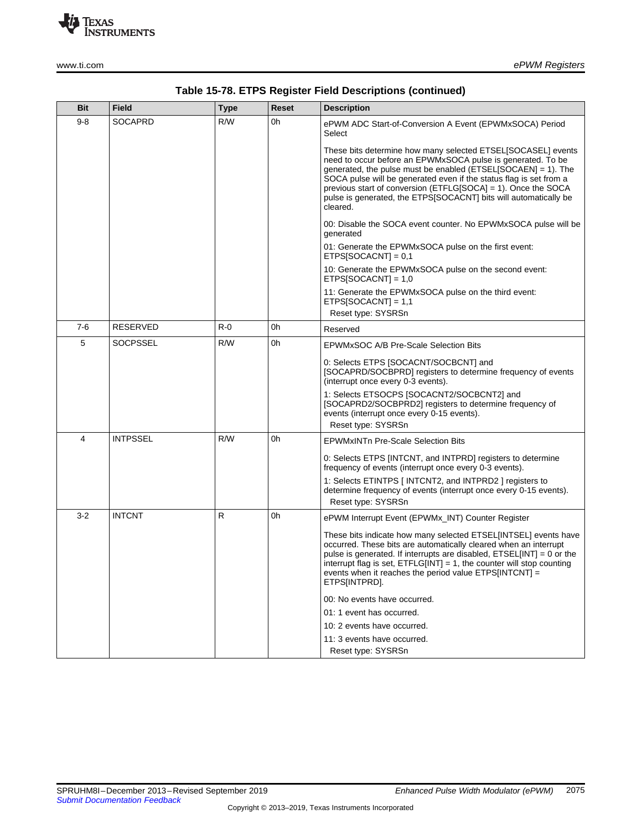

| <b>Bit</b> | <b>Field</b>    | <b>Type</b> | <b>Reset</b> | <b>Description</b>                                                                                                                                                                                                                                                                                                                                                                                                  |
|------------|-----------------|-------------|--------------|---------------------------------------------------------------------------------------------------------------------------------------------------------------------------------------------------------------------------------------------------------------------------------------------------------------------------------------------------------------------------------------------------------------------|
| $9 - 8$    | <b>SOCAPRD</b>  | R/W         | 0h           | ePWM ADC Start-of-Conversion A Event (EPWMxSOCA) Period<br>Select                                                                                                                                                                                                                                                                                                                                                   |
|            |                 |             |              | These bits determine how many selected ETSEL[SOCASEL] events<br>need to occur before an EPWMxSOCA pulse is generated. To be<br>generated, the pulse must be enabled (ETSEL[SOCAEN] = 1). The<br>SOCA pulse will be generated even if the status flag is set from a<br>previous start of conversion (ETFLG[SOCA] = 1). Once the SOCA<br>pulse is generated, the ETPS[SOCACNT] bits will automatically be<br>cleared. |
|            |                 |             |              | 00: Disable the SOCA event counter. No EPWMxSOCA pulse will be<br>generated                                                                                                                                                                                                                                                                                                                                         |
|            |                 |             |              | 01: Generate the EPWMxSOCA pulse on the first event:<br>ETPS[SOCACNT] = $0,1$                                                                                                                                                                                                                                                                                                                                       |
|            |                 |             |              | 10: Generate the EPWMxSOCA pulse on the second event:<br>ETPS[SOCACNT] = $1,0$                                                                                                                                                                                                                                                                                                                                      |
|            |                 |             |              | 11: Generate the EPWMxSOCA pulse on the third event:<br>ETPS[SOCACNT] = $1,1$<br>Reset type: SYSRSn                                                                                                                                                                                                                                                                                                                 |
| $7 - 6$    | RESERVED        | $R - 0$     | 0h           | Reserved                                                                                                                                                                                                                                                                                                                                                                                                            |
| 5          | SOCPSSEL        | R/W         | 0h           | EPWMxSOC A/B Pre-Scale Selection Bits                                                                                                                                                                                                                                                                                                                                                                               |
|            |                 |             |              | 0: Selects ETPS [SOCACNT/SOCBCNT] and<br>[SOCAPRD/SOCBPRD] registers to determine frequency of events<br>(interrupt once every 0-3 events).                                                                                                                                                                                                                                                                         |
|            |                 |             |              | 1: Selects ETSOCPS [SOCACNT2/SOCBCNT2] and<br>[SOCAPRD2/SOCBPRD2] registers to determine frequency of<br>events (interrupt once every 0-15 events).<br>Reset type: SYSRSn                                                                                                                                                                                                                                           |
| 4          | <b>INTPSSEL</b> | R/W         | 0h           | <b>EPWMxINTn Pre-Scale Selection Bits</b>                                                                                                                                                                                                                                                                                                                                                                           |
|            |                 |             |              | 0: Selects ETPS [INTCNT, and INTPRD] registers to determine<br>frequency of events (interrupt once every 0-3 events).                                                                                                                                                                                                                                                                                               |
|            |                 |             |              | 1: Selects ETINTPS   INTCNT2, and INTPRD2   registers to<br>determine frequency of events (interrupt once every 0-15 events).<br>Reset type: SYSRSn                                                                                                                                                                                                                                                                 |
| $3 - 2$    | <b>INTCNT</b>   | R           | 0h           | ePWM Interrupt Event (EPWMx_INT) Counter Register                                                                                                                                                                                                                                                                                                                                                                   |
|            |                 |             |              | These bits indicate how many selected ETSEL[INTSEL] events have<br>occurred. These bits are automatically cleared when an interrupt<br>pulse is generated. If interrupts are disabled, $ETSEL[INT] = 0$ or the<br>interrupt flag is set, $ETFLG[INT] = 1$ , the counter will stop counting<br>events when it reaches the period value ETPS[INTCNT] =<br>ETPS[INTPRD].                                               |
|            |                 |             |              | 00: No events have occurred.                                                                                                                                                                                                                                                                                                                                                                                        |
|            |                 |             |              | 01: 1 event has occurred.                                                                                                                                                                                                                                                                                                                                                                                           |
|            |                 |             |              | 10: 2 events have occurred.                                                                                                                                                                                                                                                                                                                                                                                         |
|            |                 |             |              | 11: 3 events have occurred.<br>Reset type: SYSRSn                                                                                                                                                                                                                                                                                                                                                                   |

## **Table 15-78. ETPS Register Field Descriptions (continued)**